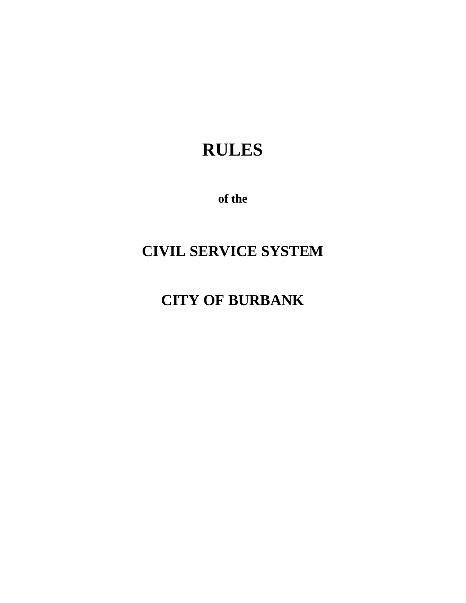# **RULES**

**of the**

# **CIVIL SERVICE SYSTEM**

# **CITY OF BURBANK**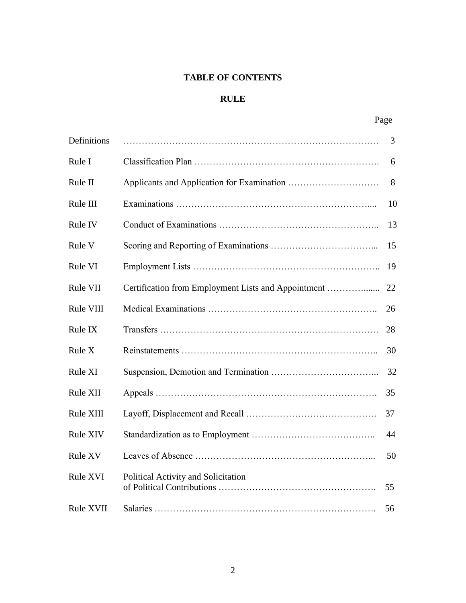## **TABLE OF CONTENTS**

## **RULE**

| I |
|---|
|---|

| Definitions      |                                     | 3  |
|------------------|-------------------------------------|----|
| Rule I           |                                     | 6  |
| Rule II          |                                     | 8  |
| Rule III         |                                     | 10 |
| Rule IV          |                                     | 13 |
| Rule V           |                                     | 15 |
| Rule VI          |                                     | 19 |
| Rule VII         |                                     | 22 |
| Rule VIII        |                                     | 26 |
| Rule IX          |                                     | 28 |
| Rule X           |                                     | 30 |
| Rule XI          |                                     | 32 |
| Rule XII         |                                     | 35 |
| Rule XIII        |                                     | 37 |
| <b>Rule XIV</b>  |                                     | 44 |
| Rule XV          |                                     | 50 |
| Rule XVI         | Political Activity and Solicitation | 55 |
| <b>Rule XVII</b> |                                     | 56 |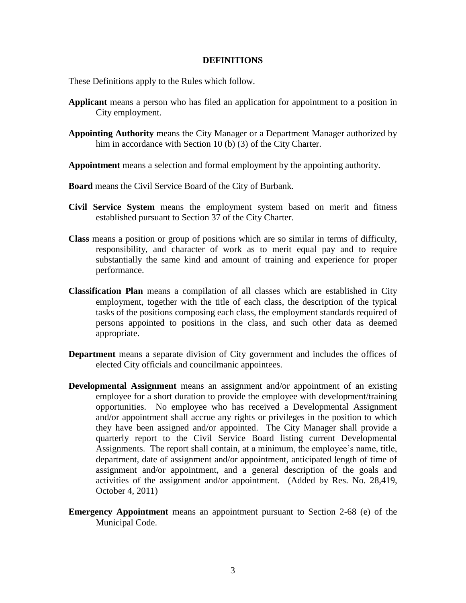#### **DEFINITIONS**

These Definitions apply to the Rules which follow.

- **Applicant** means a person who has filed an application for appointment to a position in City employment.
- **Appointing Authority** means the City Manager or a Department Manager authorized by him in accordance with Section 10 (b) (3) of the City Charter.
- **Appointment** means a selection and formal employment by the appointing authority.
- **Board** means the Civil Service Board of the City of Burbank.
- **Civil Service System** means the employment system based on merit and fitness established pursuant to Section 37 of the City Charter.
- **Class** means a position or group of positions which are so similar in terms of difficulty, responsibility, and character of work as to merit equal pay and to require substantially the same kind and amount of training and experience for proper performance.
- **Classification Plan** means a compilation of all classes which are established in City employment, together with the title of each class, the description of the typical tasks of the positions composing each class, the employment standards required of persons appointed to positions in the class, and such other data as deemed appropriate.
- **Department** means a separate division of City government and includes the offices of elected City officials and councilmanic appointees.
- **Developmental Assignment** means an assignment and/or appointment of an existing employee for a short duration to provide the employee with development/training opportunities. No employee who has received a Developmental Assignment and/or appointment shall accrue any rights or privileges in the position to which they have been assigned and/or appointed. The City Manager shall provide a quarterly report to the Civil Service Board listing current Developmental Assignments. The report shall contain, at a minimum, the employee's name, title, department, date of assignment and/or appointment, anticipated length of time of assignment and/or appointment, and a general description of the goals and activities of the assignment and/or appointment. (Added by Res. No. 28,419, October 4, 2011)
- **Emergency Appointment** means an appointment pursuant to Section 2-68 (e) of the Municipal Code.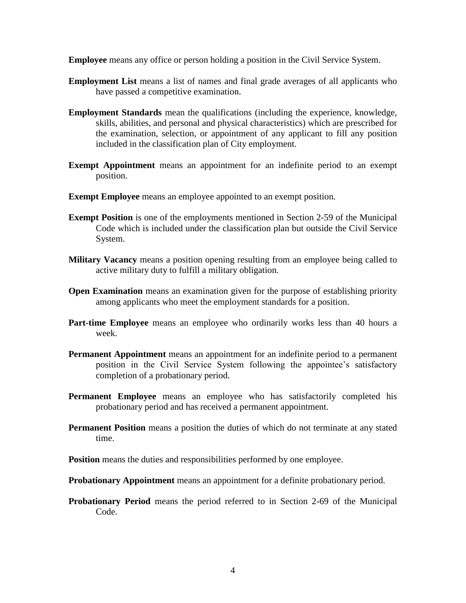**Employee** means any office or person holding a position in the Civil Service System.

- **Employment List** means a list of names and final grade averages of all applicants who have passed a competitive examination.
- **Employment Standards** mean the qualifications (including the experience, knowledge, skills, abilities, and personal and physical characteristics) which are prescribed for the examination, selection, or appointment of any applicant to fill any position included in the classification plan of City employment.
- **Exempt Appointment** means an appointment for an indefinite period to an exempt position.
- **Exempt Employee** means an employee appointed to an exempt position.
- **Exempt Position** is one of the employments mentioned in Section 2-59 of the Municipal Code which is included under the classification plan but outside the Civil Service System.
- **Military Vacancy** means a position opening resulting from an employee being called to active military duty to fulfill a military obligation.
- **Open Examination** means an examination given for the purpose of establishing priority among applicants who meet the employment standards for a position.
- **Part-time Employee** means an employee who ordinarily works less than 40 hours a week.
- **Permanent Appointment** means an appointment for an indefinite period to a permanent position in the Civil Service System following the appointee's satisfactory completion of a probationary period.
- **Permanent Employee** means an employee who has satisfactorily completed his probationary period and has received a permanent appointment.
- **Permanent Position** means a position the duties of which do not terminate at any stated time.
- **Position** means the duties and responsibilities performed by one employee.
- **Probationary Appointment** means an appointment for a definite probationary period.
- **Probationary Period** means the period referred to in Section 2-69 of the Municipal Code.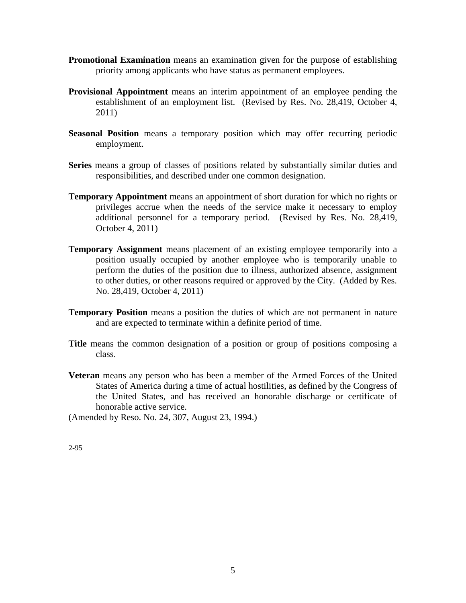- **Promotional Examination** means an examination given for the purpose of establishing priority among applicants who have status as permanent employees.
- **Provisional Appointment** means an interim appointment of an employee pending the establishment of an employment list. (Revised by Res. No. 28,419, October 4, 2011)
- **Seasonal Position** means a temporary position which may offer recurring periodic employment.
- **Series** means a group of classes of positions related by substantially similar duties and responsibilities, and described under one common designation.
- **Temporary Appointment** means an appointment of short duration for which no rights or privileges accrue when the needs of the service make it necessary to employ additional personnel for a temporary period. (Revised by Res. No. 28,419, October 4, 2011)
- **Temporary Assignment** means placement of an existing employee temporarily into a position usually occupied by another employee who is temporarily unable to perform the duties of the position due to illness, authorized absence, assignment to other duties, or other reasons required or approved by the City. (Added by Res. No. 28,419, October 4, 2011)
- **Temporary Position** means a position the duties of which are not permanent in nature and are expected to terminate within a definite period of time.
- **Title** means the common designation of a position or group of positions composing a class.
- **Veteran** means any person who has been a member of the Armed Forces of the United States of America during a time of actual hostilities, as defined by the Congress of the United States, and has received an honorable discharge or certificate of honorable active service.

(Amended by Reso. No. 24, 307, August 23, 1994.)

2-95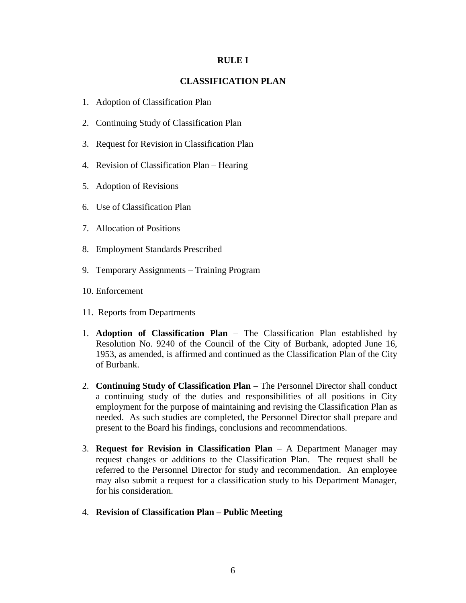#### **RULE I**

## **CLASSIFICATION PLAN**

- 1. Adoption of Classification Plan
- 2. Continuing Study of Classification Plan
- 3. Request for Revision in Classification Plan
- 4. Revision of Classification Plan Hearing
- 5. Adoption of Revisions
- 6. Use of Classification Plan
- 7. Allocation of Positions
- 8. Employment Standards Prescribed
- 9. Temporary Assignments Training Program
- 10. Enforcement
- 11. Reports from Departments
- 1. **Adoption of Classification Plan** The Classification Plan established by Resolution No. 9240 of the Council of the City of Burbank, adopted June 16, 1953, as amended, is affirmed and continued as the Classification Plan of the City of Burbank.
- 2. **Continuing Study of Classification Plan**  The Personnel Director shall conduct a continuing study of the duties and responsibilities of all positions in City employment for the purpose of maintaining and revising the Classification Plan as needed. As such studies are completed, the Personnel Director shall prepare and present to the Board his findings, conclusions and recommendations.
- 3. **Request for Revision in Classification Plan**  A Department Manager may request changes or additions to the Classification Plan. The request shall be referred to the Personnel Director for study and recommendation. An employee may also submit a request for a classification study to his Department Manager, for his consideration.
- 4. **Revision of Classification Plan – Public Meeting**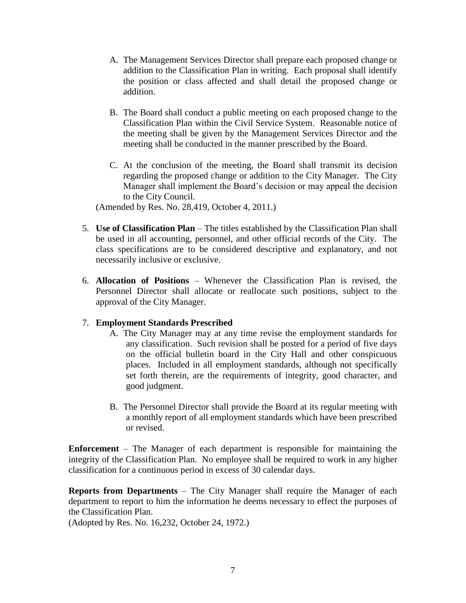- A. The Management Services Director shall prepare each proposed change or addition to the Classification Plan in writing. Each proposal shall identify the position or class affected and shall detail the proposed change or addition.
- B. The Board shall conduct a public meeting on each proposed change to the Classification Plan within the Civil Service System. Reasonable notice of the meeting shall be given by the Management Services Director and the meeting shall be conducted in the manner prescribed by the Board.
- C. At the conclusion of the meeting, the Board shall transmit its decision regarding the proposed change or addition to the City Manager. The City Manager shall implement the Board's decision or may appeal the decision to the City Council.

(Amended by Res. No. 28,419, October 4, 2011.)

- 5. **Use of Classification Plan**  The titles established by the Classification Plan shall be used in all accounting, personnel, and other official records of the City. The class specifications are to be considered descriptive and explanatory, and not necessarily inclusive or exclusive.
- 6. **Allocation of Positions** Whenever the Classification Plan is revised, the Personnel Director shall allocate or reallocate such positions, subject to the approval of the City Manager.

## 7. **Employment Standards Prescribed**

- A. The City Manager may at any time revise the employment standards for any classification. Such revision shall be posted for a period of five days on the official bulletin board in the City Hall and other conspicuous places. Included in all employment standards, although not specifically set forth therein, are the requirements of integrity, good character, and good judgment.
- B. The Personnel Director shall provide the Board at its regular meeting with a monthly report of all employment standards which have been prescribed or revised.

**Enforcement** – The Manager of each department is responsible for maintaining the integrity of the Classification Plan. No employee shall be required to work in any higher classification for a continuous period in excess of 30 calendar days.

**Reports from Departments** – The City Manager shall require the Manager of each department to report to him the information he deems necessary to effect the purposes of the Classification Plan.

(Adopted by Res. No. 16,232, October 24, 1972.)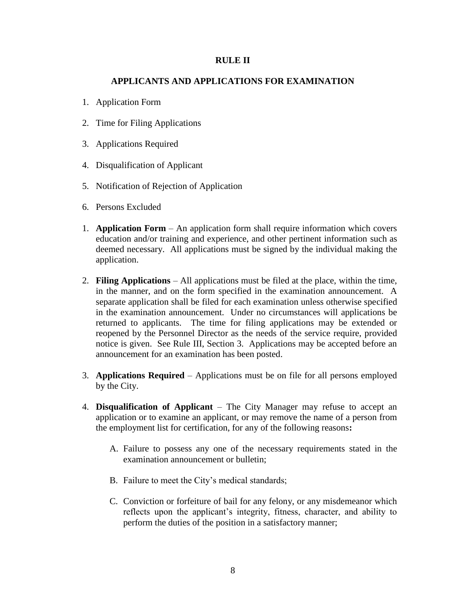#### **RULE II**

## **APPLICANTS AND APPLICATIONS FOR EXAMINATION**

- 1. Application Form
- 2. Time for Filing Applications
- 3. Applications Required
- 4. Disqualification of Applicant
- 5. Notification of Rejection of Application
- 6. Persons Excluded
- 1. **Application Form** An application form shall require information which covers education and/or training and experience, and other pertinent information such as deemed necessary. All applications must be signed by the individual making the application.
- 2. **Filing Applications** All applications must be filed at the place, within the time, in the manner, and on the form specified in the examination announcement. A separate application shall be filed for each examination unless otherwise specified in the examination announcement. Under no circumstances will applications be returned to applicants. The time for filing applications may be extended or reopened by the Personnel Director as the needs of the service require, provided notice is given. See Rule III, Section 3. Applications may be accepted before an announcement for an examination has been posted.
- 3. **Applications Required** Applications must be on file for all persons employed by the City.
- 4. **Disqualification of Applicant** The City Manager may refuse to accept an application or to examine an applicant, or may remove the name of a person from the employment list for certification, for any of the following reasons**:**
	- A. Failure to possess any one of the necessary requirements stated in the examination announcement or bulletin;
	- B. Failure to meet the City's medical standards;
	- C. Conviction or forfeiture of bail for any felony, or any misdemeanor which reflects upon the applicant's integrity, fitness, character, and ability to perform the duties of the position in a satisfactory manner;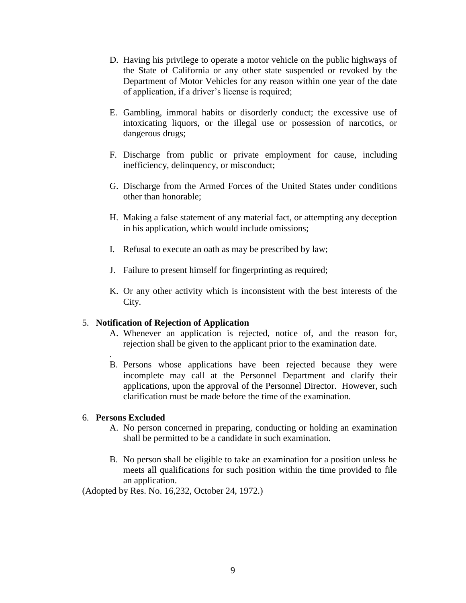- D. Having his privilege to operate a motor vehicle on the public highways of the State of California or any other state suspended or revoked by the Department of Motor Vehicles for any reason within one year of the date of application, if a driver's license is required;
- E. Gambling, immoral habits or disorderly conduct; the excessive use of intoxicating liquors, or the illegal use or possession of narcotics, or dangerous drugs;
- F. Discharge from public or private employment for cause, including inefficiency, delinquency, or misconduct;
- G. Discharge from the Armed Forces of the United States under conditions other than honorable;
- H. Making a false statement of any material fact, or attempting any deception in his application, which would include omissions;
- I. Refusal to execute an oath as may be prescribed by law;
- J. Failure to present himself for fingerprinting as required;
- K. Or any other activity which is inconsistent with the best interests of the City.

## 5. **Notification of Rejection of Application**

- A. Whenever an application is rejected, notice of, and the reason for, rejection shall be given to the applicant prior to the examination date.
- . B. Persons whose applications have been rejected because they were incomplete may call at the Personnel Department and clarify their applications, upon the approval of the Personnel Director. However, such clarification must be made before the time of the examination.

## 6. **Persons Excluded**

- A. No person concerned in preparing, conducting or holding an examination shall be permitted to be a candidate in such examination.
- B. No person shall be eligible to take an examination for a position unless he meets all qualifications for such position within the time provided to file an application.

(Adopted by Res. No. 16,232, October 24, 1972.)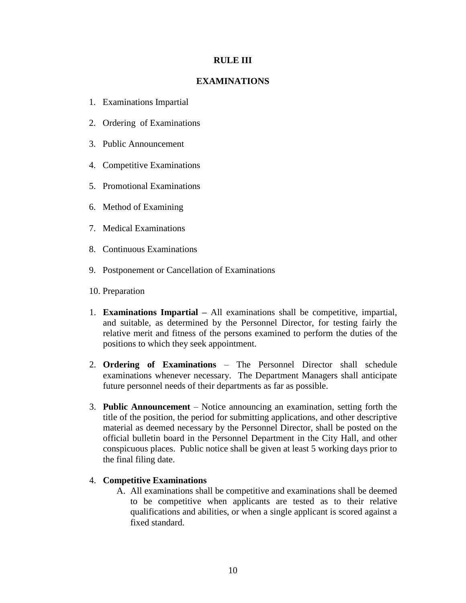## **RULE III**

## **EXAMINATIONS**

- 1. Examinations Impartial
- 2. Ordering of Examinations
- 3. Public Announcement
- 4. Competitive Examinations
- 5. Promotional Examinations
- 6. Method of Examining
- 7. Medical Examinations
- 8. Continuous Examinations
- 9. Postponement or Cancellation of Examinations
- 10. Preparation
- 1. **Examinations Impartial –** All examinations shall be competitive, impartial, and suitable, as determined by the Personnel Director, for testing fairly the relative merit and fitness of the persons examined to perform the duties of the positions to which they seek appointment.
- 2. **Ordering of Examinations** The Personnel Director shall schedule examinations whenever necessary. The Department Managers shall anticipate future personnel needs of their departments as far as possible.
- 3. **Public Announcement**  Notice announcing an examination, setting forth the title of the position, the period for submitting applications, and other descriptive material as deemed necessary by the Personnel Director, shall be posted on the official bulletin board in the Personnel Department in the City Hall, and other conspicuous places. Public notice shall be given at least 5 working days prior to the final filing date.

## 4. **Competitive Examinations**

A. All examinations shall be competitive and examinations shall be deemed to be competitive when applicants are tested as to their relative qualifications and abilities, or when a single applicant is scored against a fixed standard.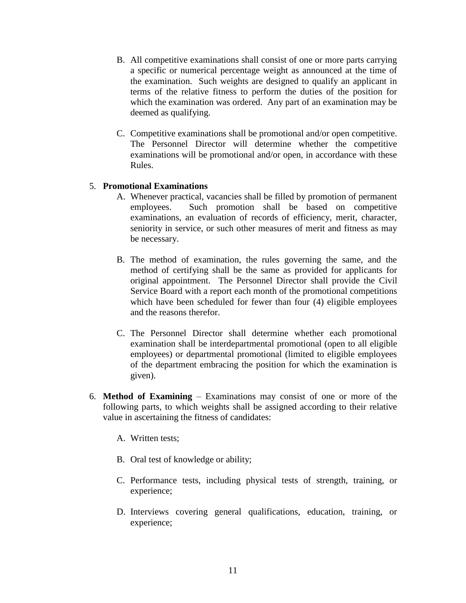- B. All competitive examinations shall consist of one or more parts carrying a specific or numerical percentage weight as announced at the time of the examination. Such weights are designed to qualify an applicant in terms of the relative fitness to perform the duties of the position for which the examination was ordered. Any part of an examination may be deemed as qualifying.
- C. Competitive examinations shall be promotional and/or open competitive. The Personnel Director will determine whether the competitive examinations will be promotional and/or open, in accordance with these Rules.

## 5. **Promotional Examinations**

- A. Whenever practical, vacancies shall be filled by promotion of permanent employees. Such promotion shall be based on competitive examinations, an evaluation of records of efficiency, merit, character, seniority in service, or such other measures of merit and fitness as may be necessary.
- B. The method of examination, the rules governing the same, and the method of certifying shall be the same as provided for applicants for original appointment. The Personnel Director shall provide the Civil Service Board with a report each month of the promotional competitions which have been scheduled for fewer than four (4) eligible employees and the reasons therefor.
- C. The Personnel Director shall determine whether each promotional examination shall be interdepartmental promotional (open to all eligible employees) or departmental promotional (limited to eligible employees of the department embracing the position for which the examination is given).
- 6. **Method of Examining** Examinations may consist of one or more of the following parts, to which weights shall be assigned according to their relative value in ascertaining the fitness of candidates:
	- A. Written tests;
	- B. Oral test of knowledge or ability;
	- C. Performance tests, including physical tests of strength, training, or experience;
	- D. Interviews covering general qualifications, education, training, or experience;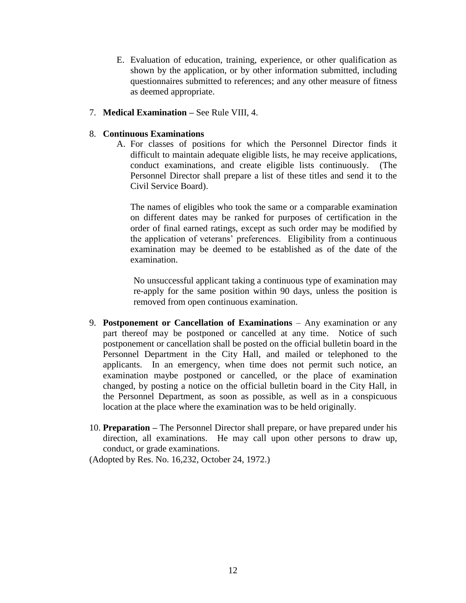E. Evaluation of education, training, experience, or other qualification as shown by the application, or by other information submitted, including questionnaires submitted to references; and any other measure of fitness as deemed appropriate.

## 7. **Medical Examination –** See Rule VIII, 4.

## 8. **Continuous Examinations**

A. For classes of positions for which the Personnel Director finds it difficult to maintain adequate eligible lists, he may receive applications, conduct examinations, and create eligible lists continuously. (The Personnel Director shall prepare a list of these titles and send it to the Civil Service Board).

The names of eligibles who took the same or a comparable examination on different dates may be ranked for purposes of certification in the order of final earned ratings, except as such order may be modified by the application of veterans' preferences. Eligibility from a continuous examination may be deemed to be established as of the date of the examination.

No unsuccessful applicant taking a continuous type of examination may re-apply for the same position within 90 days, unless the position is removed from open continuous examination.

- 9. **Postponement or Cancellation of Examinations** Any examination or any part thereof may be postponed or cancelled at any time. Notice of such postponement or cancellation shall be posted on the official bulletin board in the Personnel Department in the City Hall, and mailed or telephoned to the applicants. In an emergency, when time does not permit such notice, an examination maybe postponed or cancelled, or the place of examination changed, by posting a notice on the official bulletin board in the City Hall, in the Personnel Department, as soon as possible, as well as in a conspicuous location at the place where the examination was to be held originally.
- 10. **Preparation –** The Personnel Director shall prepare, or have prepared under his direction, all examinations. He may call upon other persons to draw up, conduct, or grade examinations.

(Adopted by Res. No. 16,232, October 24, 1972.)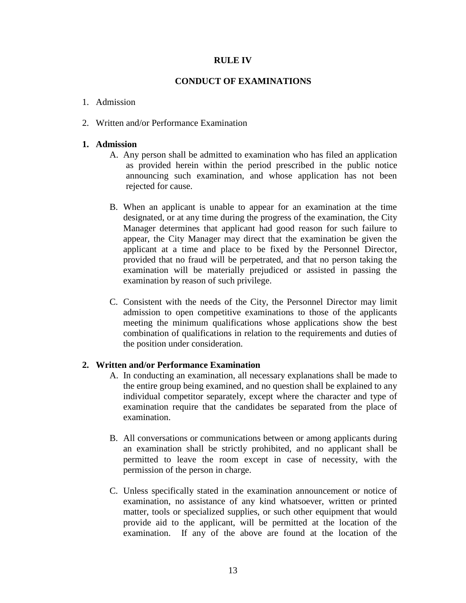## **RULE IV**

## **CONDUCT OF EXAMINATIONS**

### 1. Admission

2. Written and/or Performance Examination

### **1. Admission**

- A. Any person shall be admitted to examination who has filed an application as provided herein within the period prescribed in the public notice announcing such examination, and whose application has not been rejected for cause.
- B. When an applicant is unable to appear for an examination at the time designated, or at any time during the progress of the examination, the City Manager determines that applicant had good reason for such failure to appear, the City Manager may direct that the examination be given the applicant at a time and place to be fixed by the Personnel Director, provided that no fraud will be perpetrated, and that no person taking the examination will be materially prejudiced or assisted in passing the examination by reason of such privilege.
- C. Consistent with the needs of the City, the Personnel Director may limit admission to open competitive examinations to those of the applicants meeting the minimum qualifications whose applications show the best combination of qualifications in relation to the requirements and duties of the position under consideration.

## **2. Written and/or Performance Examination**

- A. In conducting an examination, all necessary explanations shall be made to the entire group being examined, and no question shall be explained to any individual competitor separately, except where the character and type of examination require that the candidates be separated from the place of examination.
- B. All conversations or communications between or among applicants during an examination shall be strictly prohibited, and no applicant shall be permitted to leave the room except in case of necessity, with the permission of the person in charge.
- C. Unless specifically stated in the examination announcement or notice of examination, no assistance of any kind whatsoever, written or printed matter, tools or specialized supplies, or such other equipment that would provide aid to the applicant, will be permitted at the location of the examination. If any of the above are found at the location of the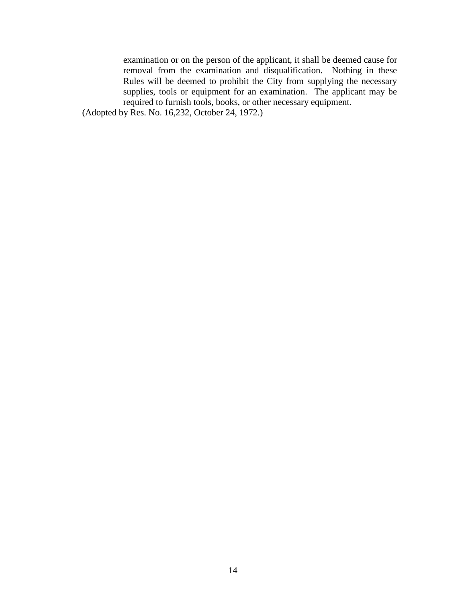examination or on the person of the applicant, it shall be deemed cause for removal from the examination and disqualification. Nothing in these Rules will be deemed to prohibit the City from supplying the necessary supplies, tools or equipment for an examination. The applicant may be required to furnish tools, books, or other necessary equipment.

(Adopted by Res. No. 16,232, October 24, 1972.)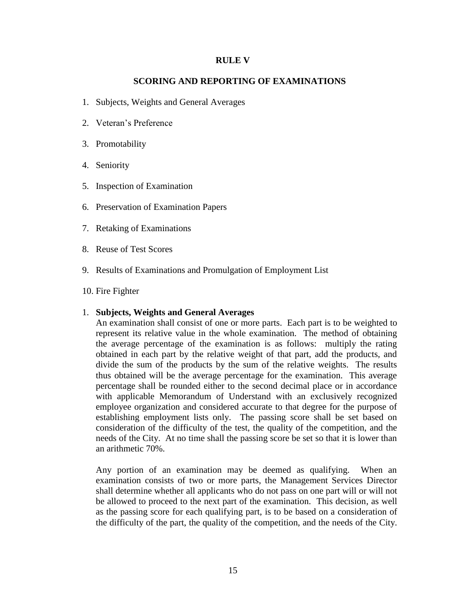#### **RULE V**

## **SCORING AND REPORTING OF EXAMINATIONS**

- 1. Subjects, Weights and General Averages
- 2. Veteran's Preference
- 3. Promotability
- 4. Seniority
- 5. Inspection of Examination
- 6. Preservation of Examination Papers
- 7. Retaking of Examinations
- 8. Reuse of Test Scores
- 9. Results of Examinations and Promulgation of Employment List
- 10. Fire Fighter

#### 1. **Subjects, Weights and General Averages**

An examination shall consist of one or more parts. Each part is to be weighted to represent its relative value in the whole examination. The method of obtaining the average percentage of the examination is as follows: multiply the rating obtained in each part by the relative weight of that part, add the products, and divide the sum of the products by the sum of the relative weights. The results thus obtained will be the average percentage for the examination. This average percentage shall be rounded either to the second decimal place or in accordance with applicable Memorandum of Understand with an exclusively recognized employee organization and considered accurate to that degree for the purpose of establishing employment lists only. The passing score shall be set based on consideration of the difficulty of the test, the quality of the competition, and the needs of the City. At no time shall the passing score be set so that it is lower than an arithmetic 70%.

Any portion of an examination may be deemed as qualifying. When an examination consists of two or more parts, the Management Services Director shall determine whether all applicants who do not pass on one part will or will not be allowed to proceed to the next part of the examination. This decision, as well as the passing score for each qualifying part, is to be based on a consideration of the difficulty of the part, the quality of the competition, and the needs of the City.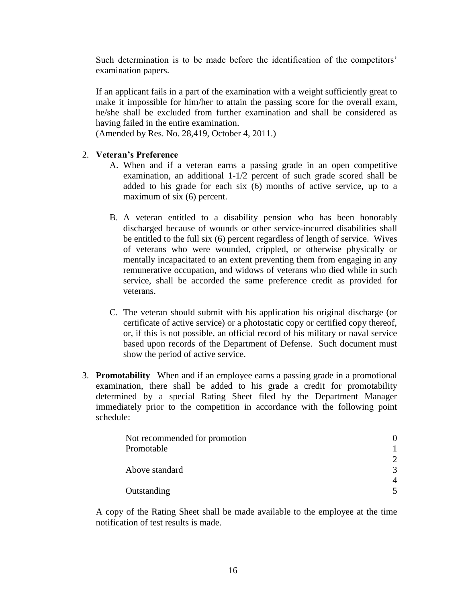Such determination is to be made before the identification of the competitors' examination papers.

If an applicant fails in a part of the examination with a weight sufficiently great to make it impossible for him/her to attain the passing score for the overall exam, he/she shall be excluded from further examination and shall be considered as having failed in the entire examination.

(Amended by Res. No. 28,419, October 4, 2011.)

## 2. **Veteran's Preference**

- A. When and if a veteran earns a passing grade in an open competitive examination, an additional 1-1/2 percent of such grade scored shall be added to his grade for each six (6) months of active service, up to a maximum of six (6) percent.
- B. A veteran entitled to a disability pension who has been honorably discharged because of wounds or other service-incurred disabilities shall be entitled to the full six (6) percent regardless of length of service. Wives of veterans who were wounded, crippled, or otherwise physically or mentally incapacitated to an extent preventing them from engaging in any remunerative occupation, and widows of veterans who died while in such service, shall be accorded the same preference credit as provided for veterans.
- C. The veteran should submit with his application his original discharge (or certificate of active service) or a photostatic copy or certified copy thereof, or, if this is not possible, an official record of his military or naval service based upon records of the Department of Defense. Such document must show the period of active service.
- 3. **Promotability** –When and if an employee earns a passing grade in a promotional examination, there shall be added to his grade a credit for promotability determined by a special Rating Sheet filed by the Department Manager immediately prior to the competition in accordance with the following point schedule:

| Not recommended for promotion |               |
|-------------------------------|---------------|
| Promotable                    |               |
|                               | $\mathcal{D}$ |
| Above standard                | $\mathcal{F}$ |
|                               |               |
| Outstanding                   |               |

A copy of the Rating Sheet shall be made available to the employee at the time notification of test results is made.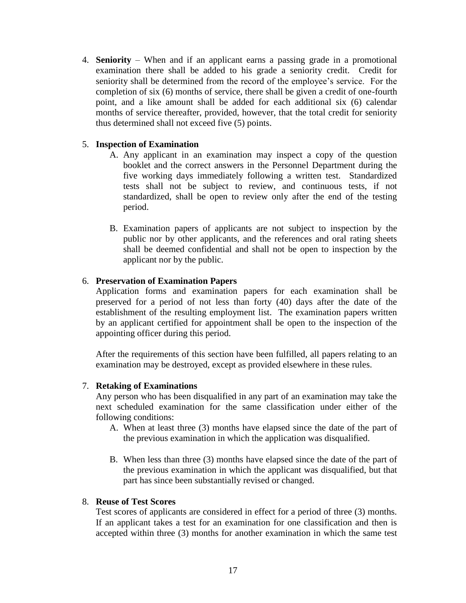4. **Seniority** – When and if an applicant earns a passing grade in a promotional examination there shall be added to his grade a seniority credit. Credit for seniority shall be determined from the record of the employee's service. For the completion of six (6) months of service, there shall be given a credit of one-fourth point, and a like amount shall be added for each additional six (6) calendar months of service thereafter, provided, however, that the total credit for seniority thus determined shall not exceed five (5) points.

## 5. **Inspection of Examination**

- A. Any applicant in an examination may inspect a copy of the question booklet and the correct answers in the Personnel Department during the five working days immediately following a written test. Standardized tests shall not be subject to review, and continuous tests, if not standardized, shall be open to review only after the end of the testing period.
- B. Examination papers of applicants are not subject to inspection by the public nor by other applicants, and the references and oral rating sheets shall be deemed confidential and shall not be open to inspection by the applicant nor by the public.

## 6. **Preservation of Examination Papers**

Application forms and examination papers for each examination shall be preserved for a period of not less than forty (40) days after the date of the establishment of the resulting employment list. The examination papers written by an applicant certified for appointment shall be open to the inspection of the appointing officer during this period.

After the requirements of this section have been fulfilled, all papers relating to an examination may be destroyed, except as provided elsewhere in these rules.

## 7. **Retaking of Examinations**

Any person who has been disqualified in any part of an examination may take the next scheduled examination for the same classification under either of the following conditions:

- A. When at least three (3) months have elapsed since the date of the part of the previous examination in which the application was disqualified.
- B. When less than three (3) months have elapsed since the date of the part of the previous examination in which the applicant was disqualified, but that part has since been substantially revised or changed.

## 8. **Reuse of Test Scores**

Test scores of applicants are considered in effect for a period of three (3) months. If an applicant takes a test for an examination for one classification and then is accepted within three (3) months for another examination in which the same test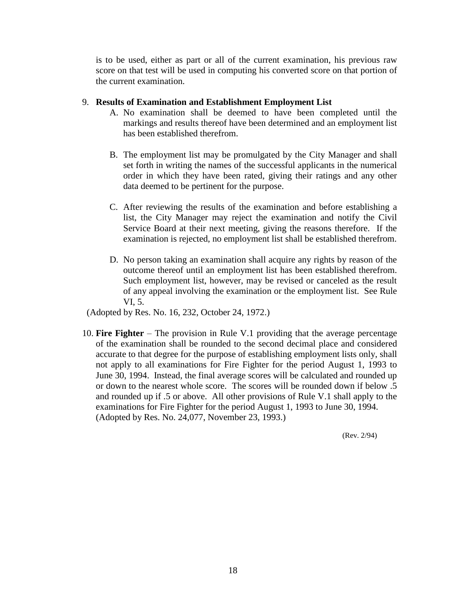is to be used, either as part or all of the current examination, his previous raw score on that test will be used in computing his converted score on that portion of the current examination.

## 9. **Results of Examination and Establishment Employment List**

- A. No examination shall be deemed to have been completed until the markings and results thereof have been determined and an employment list has been established therefrom.
- B. The employment list may be promulgated by the City Manager and shall set forth in writing the names of the successful applicants in the numerical order in which they have been rated, giving their ratings and any other data deemed to be pertinent for the purpose.
- C. After reviewing the results of the examination and before establishing a list, the City Manager may reject the examination and notify the Civil Service Board at their next meeting, giving the reasons therefore. If the examination is rejected, no employment list shall be established therefrom.
- D. No person taking an examination shall acquire any rights by reason of the outcome thereof until an employment list has been established therefrom. Such employment list, however, may be revised or canceled as the result of any appeal involving the examination or the employment list. See Rule VI, 5.

(Adopted by Res. No. 16, 232, October 24, 1972.)

10. **Fire Fighter** – The provision in Rule V.1 providing that the average percentage of the examination shall be rounded to the second decimal place and considered accurate to that degree for the purpose of establishing employment lists only, shall not apply to all examinations for Fire Fighter for the period August 1, 1993 to June 30, 1994. Instead, the final average scores will be calculated and rounded up or down to the nearest whole score. The scores will be rounded down if below .5 and rounded up if .5 or above. All other provisions of Rule V.1 shall apply to the examinations for Fire Fighter for the period August 1, 1993 to June 30, 1994. (Adopted by Res. No. 24,077, November 23, 1993.)

(Rev. 2/94)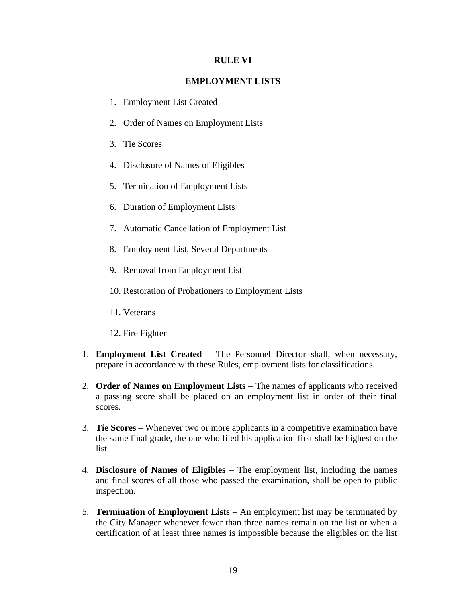#### **RULE VI**

## **EMPLOYMENT LISTS**

- 1. Employment List Created
- 2. Order of Names on Employment Lists
- 3. Tie Scores
- 4. Disclosure of Names of Eligibles
- 5. Termination of Employment Lists
- 6. Duration of Employment Lists
- 7. Automatic Cancellation of Employment List
- 8. Employment List, Several Departments
- 9. Removal from Employment List
- 10. Restoration of Probationers to Employment Lists
- 11. Veterans
- 12. Fire Fighter
- 1. **Employment List Created** The Personnel Director shall, when necessary, prepare in accordance with these Rules, employment lists for classifications.
- 2. **Order of Names on Employment Lists** The names of applicants who received a passing score shall be placed on an employment list in order of their final scores.
- 3. **Tie Scores**  Whenever two or more applicants in a competitive examination have the same final grade, the one who filed his application first shall be highest on the list.
- 4. **Disclosure of Names of Eligibles**  The employment list, including the names and final scores of all those who passed the examination, shall be open to public inspection.
- 5. **Termination of Employment Lists**  An employment list may be terminated by the City Manager whenever fewer than three names remain on the list or when a certification of at least three names is impossible because the eligibles on the list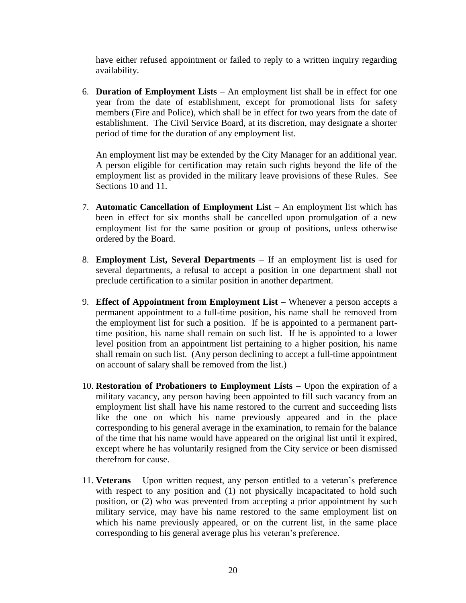have either refused appointment or failed to reply to a written inquiry regarding availability.

6. **Duration of Employment Lists** – An employment list shall be in effect for one year from the date of establishment, except for promotional lists for safety members (Fire and Police), which shall be in effect for two years from the date of establishment. The Civil Service Board, at its discretion, may designate a shorter period of time for the duration of any employment list.

An employment list may be extended by the City Manager for an additional year. A person eligible for certification may retain such rights beyond the life of the employment list as provided in the military leave provisions of these Rules. See Sections 10 and 11.

- 7. **Automatic Cancellation of Employment List**  An employment list which has been in effect for six months shall be cancelled upon promulgation of a new employment list for the same position or group of positions, unless otherwise ordered by the Board.
- 8. **Employment List, Several Departments** If an employment list is used for several departments, a refusal to accept a position in one department shall not preclude certification to a similar position in another department.
- 9. **Effect of Appointment from Employment List** Whenever a person accepts a permanent appointment to a full-time position, his name shall be removed from the employment list for such a position. If he is appointed to a permanent parttime position, his name shall remain on such list. If he is appointed to a lower level position from an appointment list pertaining to a higher position, his name shall remain on such list. (Any person declining to accept a full-time appointment on account of salary shall be removed from the list.)
- 10. **Restoration of Probationers to Employment Lists**  Upon the expiration of a military vacancy, any person having been appointed to fill such vacancy from an employment list shall have his name restored to the current and succeeding lists like the one on which his name previously appeared and in the place corresponding to his general average in the examination, to remain for the balance of the time that his name would have appeared on the original list until it expired, except where he has voluntarily resigned from the City service or been dismissed therefrom for cause.
- 11. **Veterans**  Upon written request, any person entitled to a veteran's preference with respect to any position and (1) not physically incapacitated to hold such position, or (2) who was prevented from accepting a prior appointment by such military service, may have his name restored to the same employment list on which his name previously appeared, or on the current list, in the same place corresponding to his general average plus his veteran's preference.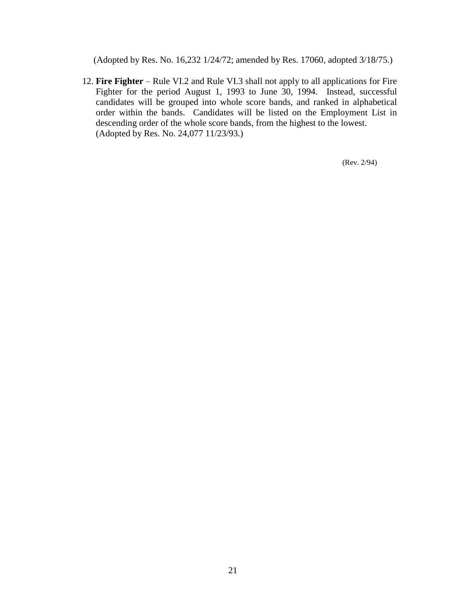(Adopted by Res. No. 16,232 1/24/72; amended by Res. 17060, adopted 3/18/75.)

12. **Fire Fighter** – Rule VI.2 and Rule VI.3 shall not apply to all applications for Fire Fighter for the period August 1, 1993 to June 30, 1994. Instead, successful candidates will be grouped into whole score bands, and ranked in alphabetical order within the bands. Candidates will be listed on the Employment List in descending order of the whole score bands, from the highest to the lowest. (Adopted by Res. No. 24,077 11/23/93.)

(Rev. 2/94)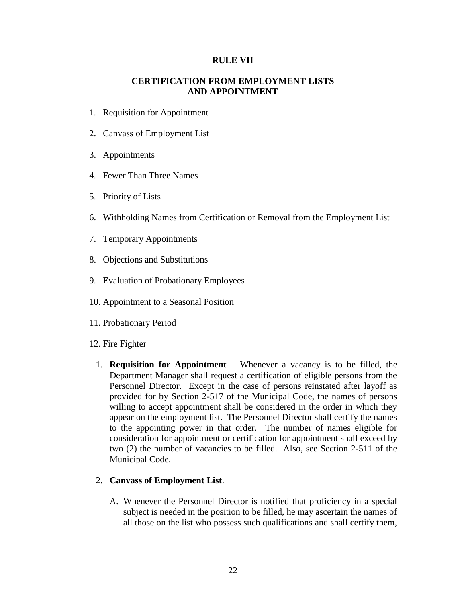#### **RULE VII**

## **CERTIFICATION FROM EMPLOYMENT LISTS AND APPOINTMENT**

- 1. Requisition for Appointment
- 2. Canvass of Employment List
- 3. Appointments
- 4. Fewer Than Three Names
- 5. Priority of Lists
- 6. Withholding Names from Certification or Removal from the Employment List
- 7. Temporary Appointments
- 8. Objections and Substitutions
- 9. Evaluation of Probationary Employees
- 10. Appointment to a Seasonal Position
- 11. Probationary Period
- 12. Fire Fighter
	- 1. **Requisition for Appointment**  Whenever a vacancy is to be filled, the Department Manager shall request a certification of eligible persons from the Personnel Director. Except in the case of persons reinstated after layoff as provided for by Section 2-517 of the Municipal Code, the names of persons willing to accept appointment shall be considered in the order in which they appear on the employment list. The Personnel Director shall certify the names to the appointing power in that order. The number of names eligible for consideration for appointment or certification for appointment shall exceed by two (2) the number of vacancies to be filled. Also, see Section 2-511 of the Municipal Code.

#### 2. **Canvass of Employment List**.

A. Whenever the Personnel Director is notified that proficiency in a special subject is needed in the position to be filled, he may ascertain the names of all those on the list who possess such qualifications and shall certify them,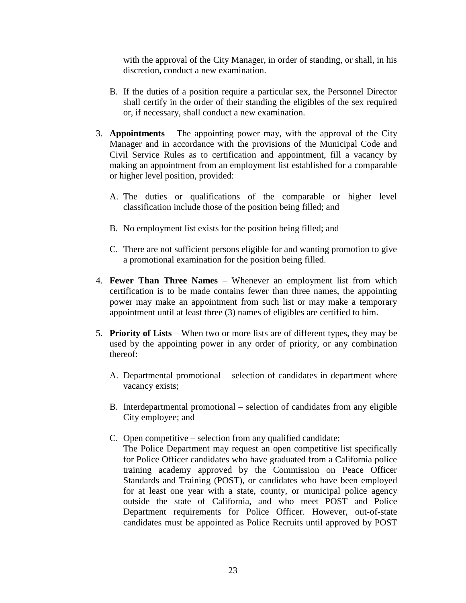with the approval of the City Manager, in order of standing, or shall, in his discretion, conduct a new examination.

- B. If the duties of a position require a particular sex, the Personnel Director shall certify in the order of their standing the eligibles of the sex required or, if necessary, shall conduct a new examination.
- 3. **Appointments** The appointing power may, with the approval of the City Manager and in accordance with the provisions of the Municipal Code and Civil Service Rules as to certification and appointment, fill a vacancy by making an appointment from an employment list established for a comparable or higher level position, provided:
	- A. The duties or qualifications of the comparable or higher level classification include those of the position being filled; and
	- B. No employment list exists for the position being filled; and
	- C. There are not sufficient persons eligible for and wanting promotion to give a promotional examination for the position being filled.
- 4. **Fewer Than Three Names** Whenever an employment list from which certification is to be made contains fewer than three names, the appointing power may make an appointment from such list or may make a temporary appointment until at least three (3) names of eligibles are certified to him.
- 5. **Priority of Lists** When two or more lists are of different types, they may be used by the appointing power in any order of priority, or any combination thereof:
	- A. Departmental promotional selection of candidates in department where vacancy exists;
	- B. Interdepartmental promotional selection of candidates from any eligible City employee; and
	- C. Open competitive selection from any qualified candidate; The Police Department may request an open competitive list specifically for Police Officer candidates who have graduated from a California police training academy approved by the Commission on Peace Officer Standards and Training (POST), or candidates who have been employed for at least one year with a state, county, or municipal police agency outside the state of California, and who meet POST and Police Department requirements for Police Officer. However, out-of-state candidates must be appointed as Police Recruits until approved by POST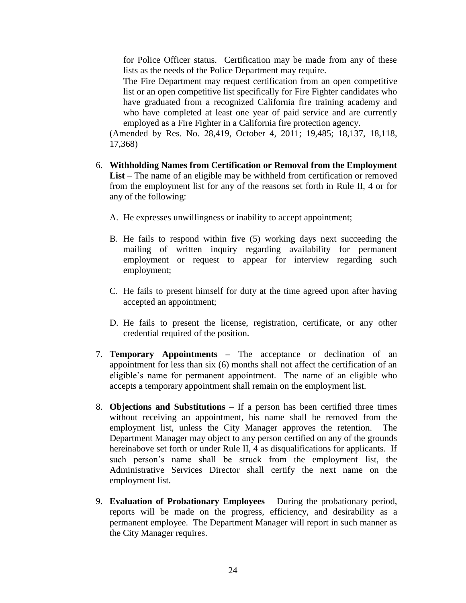for Police Officer status. Certification may be made from any of these lists as the needs of the Police Department may require.

The Fire Department may request certification from an open competitive list or an open competitive list specifically for Fire Fighter candidates who have graduated from a recognized California fire training academy and who have completed at least one year of paid service and are currently employed as a Fire Fighter in a California fire protection agency.

(Amended by Res. No. 28,419, October 4, 2011; 19,485; 18,137, 18,118, 17,368)

- 6. **Withholding Names from Certification or Removal from the Employment List** – The name of an eligible may be withheld from certification or removed from the employment list for any of the reasons set forth in Rule II, 4 or for any of the following:
	- A. He expresses unwillingness or inability to accept appointment;
	- B. He fails to respond within five (5) working days next succeeding the mailing of written inquiry regarding availability for permanent employment or request to appear for interview regarding such employment;
	- C. He fails to present himself for duty at the time agreed upon after having accepted an appointment;
	- D. He fails to present the license, registration, certificate, or any other credential required of the position.
- 7. **Temporary Appointments –** The acceptance or declination of an appointment for less than six (6) months shall not affect the certification of an eligible's name for permanent appointment. The name of an eligible who accepts a temporary appointment shall remain on the employment list.
- 8. **Objections and Substitutions** If a person has been certified three times without receiving an appointment, his name shall be removed from the employment list, unless the City Manager approves the retention. The Department Manager may object to any person certified on any of the grounds hereinabove set forth or under Rule II, 4 as disqualifications for applicants. If such person's name shall be struck from the employment list, the Administrative Services Director shall certify the next name on the employment list.
- 9. **Evaluation of Probationary Employees**  During the probationary period, reports will be made on the progress, efficiency, and desirability as a permanent employee. The Department Manager will report in such manner as the City Manager requires.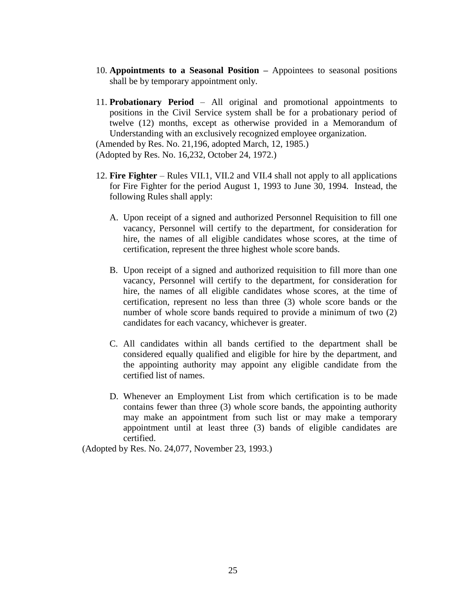- 10. **Appointments to a Seasonal Position –** Appointees to seasonal positions shall be by temporary appointment only.
- 11. **Probationary Period**  All original and promotional appointments to positions in the Civil Service system shall be for a probationary period of twelve (12) months, except as otherwise provided in a Memorandum of Understanding with an exclusively recognized employee organization.

(Amended by Res. No. 21,196, adopted March, 12, 1985.)

(Adopted by Res. No. 16,232, October 24, 1972.)

- 12. **Fire Fighter** Rules VII.1, VII.2 and VII.4 shall not apply to all applications for Fire Fighter for the period August 1, 1993 to June 30, 1994. Instead, the following Rules shall apply:
	- A. Upon receipt of a signed and authorized Personnel Requisition to fill one vacancy, Personnel will certify to the department, for consideration for hire, the names of all eligible candidates whose scores, at the time of certification, represent the three highest whole score bands.
	- B. Upon receipt of a signed and authorized requisition to fill more than one vacancy, Personnel will certify to the department, for consideration for hire, the names of all eligible candidates whose scores, at the time of certification, represent no less than three (3) whole score bands or the number of whole score bands required to provide a minimum of two (2) candidates for each vacancy, whichever is greater.
	- C. All candidates within all bands certified to the department shall be considered equally qualified and eligible for hire by the department, and the appointing authority may appoint any eligible candidate from the certified list of names.
	- D. Whenever an Employment List from which certification is to be made contains fewer than three (3) whole score bands, the appointing authority may make an appointment from such list or may make a temporary appointment until at least three (3) bands of eligible candidates are certified.

(Adopted by Res. No. 24,077, November 23, 1993.)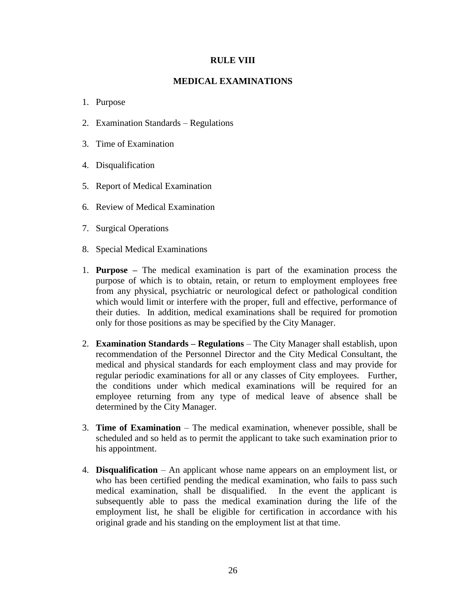## **RULE VIII**

## **MEDICAL EXAMINATIONS**

#### 1. Purpose

- 2. Examination Standards Regulations
- 3. Time of Examination
- 4. Disqualification
- 5. Report of Medical Examination
- 6. Review of Medical Examination
- 7. Surgical Operations
- 8. Special Medical Examinations
- 1. **Purpose –** The medical examination is part of the examination process the purpose of which is to obtain, retain, or return to employment employees free from any physical, psychiatric or neurological defect or pathological condition which would limit or interfere with the proper, full and effective, performance of their duties. In addition, medical examinations shall be required for promotion only for those positions as may be specified by the City Manager.
- 2. **Examination Standards – Regulations** The City Manager shall establish, upon recommendation of the Personnel Director and the City Medical Consultant, the medical and physical standards for each employment class and may provide for regular periodic examinations for all or any classes of City employees. Further, the conditions under which medical examinations will be required for an employee returning from any type of medical leave of absence shall be determined by the City Manager.
- 3. **Time of Examination** The medical examination, whenever possible, shall be scheduled and so held as to permit the applicant to take such examination prior to his appointment.
- 4. **Disqualification**  An applicant whose name appears on an employment list, or who has been certified pending the medical examination, who fails to pass such medical examination, shall be disqualified. In the event the applicant is subsequently able to pass the medical examination during the life of the employment list, he shall be eligible for certification in accordance with his original grade and his standing on the employment list at that time.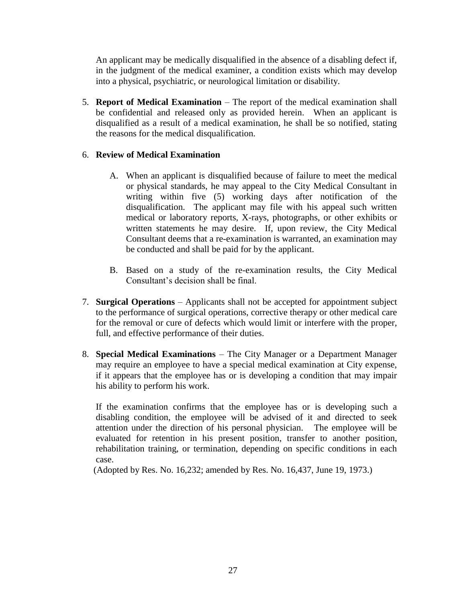An applicant may be medically disqualified in the absence of a disabling defect if, in the judgment of the medical examiner, a condition exists which may develop into a physical, psychiatric, or neurological limitation or disability.

5. **Report of Medical Examination** – The report of the medical examination shall be confidential and released only as provided herein. When an applicant is disqualified as a result of a medical examination, he shall be so notified, stating the reasons for the medical disqualification.

## 6. **Review of Medical Examination**

- A. When an applicant is disqualified because of failure to meet the medical or physical standards, he may appeal to the City Medical Consultant in writing within five (5) working days after notification of the disqualification. The applicant may file with his appeal such written medical or laboratory reports, X-rays, photographs, or other exhibits or written statements he may desire. If, upon review, the City Medical Consultant deems that a re-examination is warranted, an examination may be conducted and shall be paid for by the applicant.
- B. Based on a study of the re-examination results, the City Medical Consultant's decision shall be final.
- 7. **Surgical Operations** Applicants shall not be accepted for appointment subject to the performance of surgical operations, corrective therapy or other medical care for the removal or cure of defects which would limit or interfere with the proper, full, and effective performance of their duties.
- 8. **Special Medical Examinations** The City Manager or a Department Manager may require an employee to have a special medical examination at City expense, if it appears that the employee has or is developing a condition that may impair his ability to perform his work.

If the examination confirms that the employee has or is developing such a disabling condition, the employee will be advised of it and directed to seek attention under the direction of his personal physician. The employee will be evaluated for retention in his present position, transfer to another position, rehabilitation training, or termination, depending on specific conditions in each case.

(Adopted by Res. No. 16,232; amended by Res. No. 16,437, June 19, 1973.)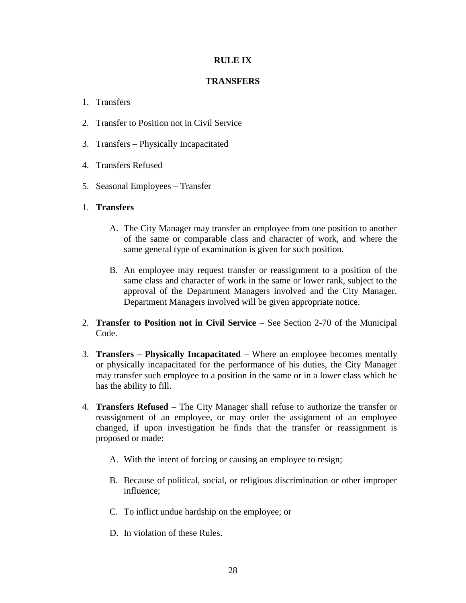## **RULE IX**

## **TRANSFERS**

## 1. Transfers

- 2. Transfer to Position not in Civil Service
- 3. Transfers Physically Incapacitated
- 4. Transfers Refused
- 5. Seasonal Employees Transfer
- 1. **Transfers**
	- A. The City Manager may transfer an employee from one position to another of the same or comparable class and character of work, and where the same general type of examination is given for such position.
	- B. An employee may request transfer or reassignment to a position of the same class and character of work in the same or lower rank, subject to the approval of the Department Managers involved and the City Manager. Department Managers involved will be given appropriate notice.
- 2. **Transfer to Position not in Civil Service** See Section 2-70 of the Municipal Code.
- 3. **Transfers – Physically Incapacitated** Where an employee becomes mentally or physically incapacitated for the performance of his duties, the City Manager may transfer such employee to a position in the same or in a lower class which he has the ability to fill.
- 4. **Transfers Refused**  The City Manager shall refuse to authorize the transfer or reassignment of an employee, or may order the assignment of an employee changed, if upon investigation he finds that the transfer or reassignment is proposed or made:
	- A. With the intent of forcing or causing an employee to resign;
	- B. Because of political, social, or religious discrimination or other improper influence;
	- C. To inflict undue hardship on the employee; or
	- D. In violation of these Rules.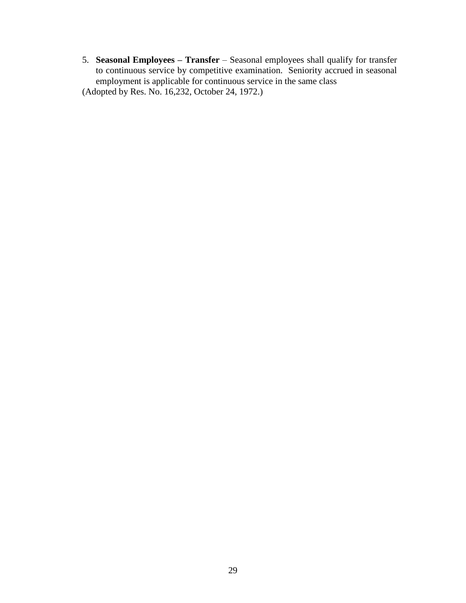5. **Seasonal Employees – Transfer** – Seasonal employees shall qualify for transfer to continuous service by competitive examination. Seniority accrued in seasonal employment is applicable for continuous service in the same class (Adopted by Res. No. 16,232, October 24, 1972.)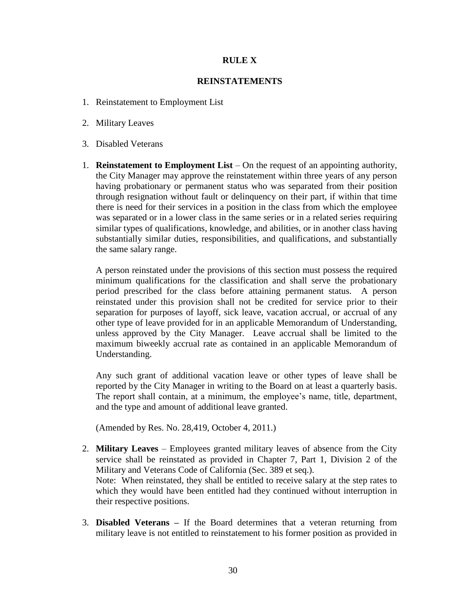## **RULE X**

## **REINSTATEMENTS**

- 1. Reinstatement to Employment List
- 2. Military Leaves
- 3. Disabled Veterans
- 1. **Reinstatement to Employment List** On the request of an appointing authority, the City Manager may approve the reinstatement within three years of any person having probationary or permanent status who was separated from their position through resignation without fault or delinquency on their part, if within that time there is need for their services in a position in the class from which the employee was separated or in a lower class in the same series or in a related series requiring similar types of qualifications, knowledge, and abilities, or in another class having substantially similar duties, responsibilities, and qualifications, and substantially the same salary range.

A person reinstated under the provisions of this section must possess the required minimum qualifications for the classification and shall serve the probationary period prescribed for the class before attaining permanent status. A person reinstated under this provision shall not be credited for service prior to their separation for purposes of layoff, sick leave, vacation accrual, or accrual of any other type of leave provided for in an applicable Memorandum of Understanding, unless approved by the City Manager. Leave accrual shall be limited to the maximum biweekly accrual rate as contained in an applicable Memorandum of Understanding.

Any such grant of additional vacation leave or other types of leave shall be reported by the City Manager in writing to the Board on at least a quarterly basis. The report shall contain, at a minimum, the employee's name, title, department, and the type and amount of additional leave granted.

(Amended by Res. No. 28,419, October 4, 2011.)

- 2. **Military Leaves** Employees granted military leaves of absence from the City service shall be reinstated as provided in Chapter 7, Part 1, Division 2 of the Military and Veterans Code of California (Sec. 389 et seq.). Note: When reinstated, they shall be entitled to receive salary at the step rates to which they would have been entitled had they continued without interruption in their respective positions.
- 3. **Disabled Veterans –** If the Board determines that a veteran returning from military leave is not entitled to reinstatement to his former position as provided in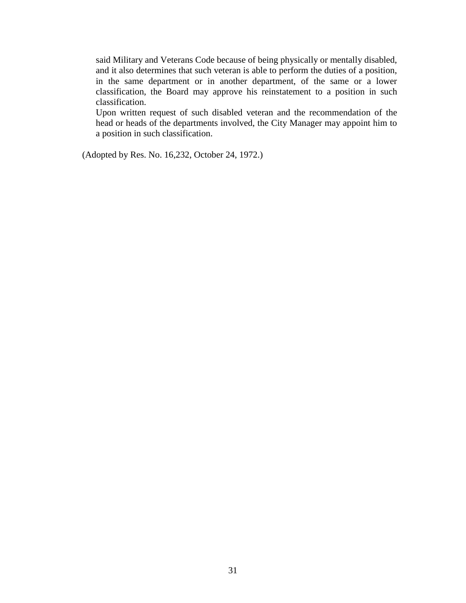said Military and Veterans Code because of being physically or mentally disabled, and it also determines that such veteran is able to perform the duties of a position, in the same department or in another department, of the same or a lower classification, the Board may approve his reinstatement to a position in such classification.

Upon written request of such disabled veteran and the recommendation of the head or heads of the departments involved, the City Manager may appoint him to a position in such classification.

(Adopted by Res. No. 16,232, October 24, 1972.)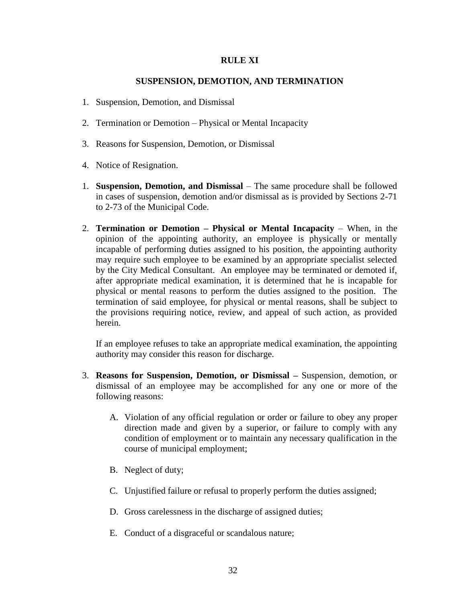#### **RULE XI**

### **SUSPENSION, DEMOTION, AND TERMINATION**

- 1. Suspension, Demotion, and Dismissal
- 2. Termination or Demotion Physical or Mental Incapacity
- 3. Reasons for Suspension, Demotion, or Dismissal
- 4. Notice of Resignation.
- 1. **Suspension, Demotion, and Dismissal** The same procedure shall be followed in cases of suspension, demotion and/or dismissal as is provided by Sections 2-71 to 2-73 of the Municipal Code.
- 2. **Termination or Demotion – Physical or Mental Incapacity** When, in the opinion of the appointing authority, an employee is physically or mentally incapable of performing duties assigned to his position, the appointing authority may require such employee to be examined by an appropriate specialist selected by the City Medical Consultant. An employee may be terminated or demoted if, after appropriate medical examination, it is determined that he is incapable for physical or mental reasons to perform the duties assigned to the position. The termination of said employee, for physical or mental reasons, shall be subject to the provisions requiring notice, review, and appeal of such action, as provided herein.

If an employee refuses to take an appropriate medical examination, the appointing authority may consider this reason for discharge.

- 3. **Reasons for Suspension, Demotion, or Dismissal –** Suspension, demotion, or dismissal of an employee may be accomplished for any one or more of the following reasons:
	- A. Violation of any official regulation or order or failure to obey any proper direction made and given by a superior, or failure to comply with any condition of employment or to maintain any necessary qualification in the course of municipal employment;
	- B. Neglect of duty;
	- C. Unjustified failure or refusal to properly perform the duties assigned;
	- D. Gross carelessness in the discharge of assigned duties;
	- E. Conduct of a disgraceful or scandalous nature;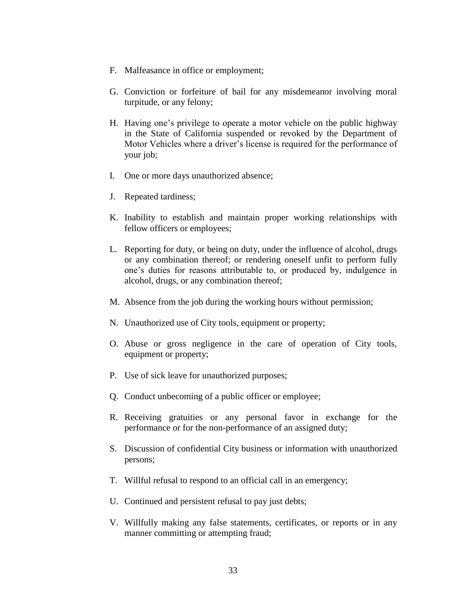- F. Malfeasance in office or employment;
- G. Conviction or forfeiture of bail for any misdemeanor involving moral turpitude, or any felony;
- H. Having one's privilege to operate a motor vehicle on the public highway in the State of California suspended or revoked by the Department of Motor Vehicles where a driver's license is required for the performance of your job;
- I. One or more days unauthorized absence;
- J. Repeated tardiness;
- K. Inability to establish and maintain proper working relationships with fellow officers or employees;
- L. Reporting for duty, or being on duty, under the influence of alcohol, drugs or any combination thereof; or rendering oneself unfit to perform fully one's duties for reasons attributable to, or produced by, indulgence in alcohol, drugs, or any combination thereof;
- M. Absence from the job during the working hours without permission;
- N. Unauthorized use of City tools, equipment or property;
- O. Abuse or gross negligence in the care of operation of City tools, equipment or property;
- P. Use of sick leave for unauthorized purposes;
- Q. Conduct unbecoming of a public officer or employee;
- R. Receiving gratuities or any personal favor in exchange for the performance or for the non-performance of an assigned duty;
- S. Discussion of confidential City business or information with unauthorized persons;
- T. Willful refusal to respond to an official call in an emergency;
- U. Continued and persistent refusal to pay just debts;
- V. Willfully making any false statements, certificates, or reports or in any manner committing or attempting fraud;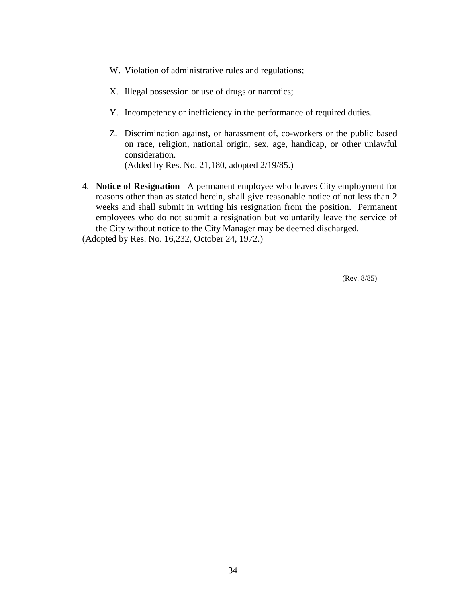- W. Violation of administrative rules and regulations;
- X. Illegal possession or use of drugs or narcotics;
- Y. Incompetency or inefficiency in the performance of required duties.
- Z. Discrimination against, or harassment of, co-workers or the public based on race, religion, national origin, sex, age, handicap, or other unlawful consideration. (Added by Res. No. 21,180, adopted 2/19/85.)
- 4. **Notice of Resignation** –A permanent employee who leaves City employment for reasons other than as stated herein, shall give reasonable notice of not less than 2 weeks and shall submit in writing his resignation from the position. Permanent employees who do not submit a resignation but voluntarily leave the service of the City without notice to the City Manager may be deemed discharged.

(Adopted by Res. No. 16,232, October 24, 1972.)

(Rev. 8/85)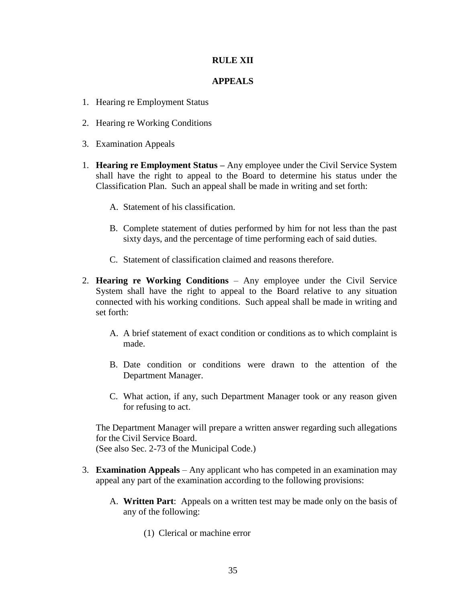## **RULE XII**

## **APPEALS**

- 1. Hearing re Employment Status
- 2. Hearing re Working Conditions
- 3. Examination Appeals
- 1. **Hearing re Employment Status –** Any employee under the Civil Service System shall have the right to appeal to the Board to determine his status under the Classification Plan. Such an appeal shall be made in writing and set forth:
	- A. Statement of his classification.
	- B. Complete statement of duties performed by him for not less than the past sixty days, and the percentage of time performing each of said duties.
	- C. Statement of classification claimed and reasons therefore.
- 2. **Hearing re Working Conditions** Any employee under the Civil Service System shall have the right to appeal to the Board relative to any situation connected with his working conditions. Such appeal shall be made in writing and set forth:
	- A. A brief statement of exact condition or conditions as to which complaint is made.
	- B. Date condition or conditions were drawn to the attention of the Department Manager.
	- C. What action, if any, such Department Manager took or any reason given for refusing to act.

The Department Manager will prepare a written answer regarding such allegations for the Civil Service Board. (See also Sec. 2-73 of the Municipal Code.)

- 3. **Examination Appeals** Any applicant who has competed in an examination may appeal any part of the examination according to the following provisions:
	- A. **Written Part**: Appeals on a written test may be made only on the basis of any of the following:
		- (1) Clerical or machine error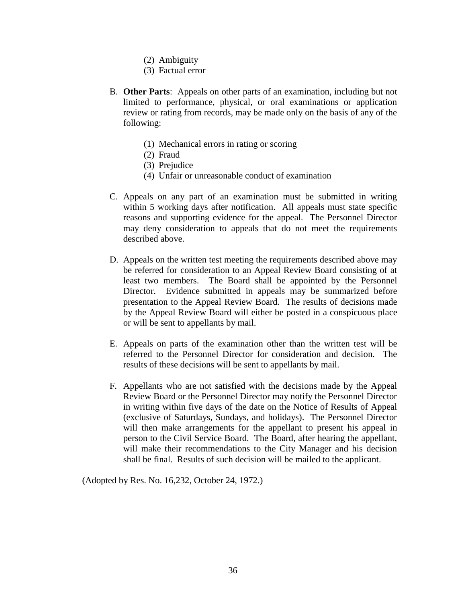- (2) Ambiguity
- (3) Factual error
- B. **Other Parts**: Appeals on other parts of an examination, including but not limited to performance, physical, or oral examinations or application review or rating from records, may be made only on the basis of any of the following:
	- (1) Mechanical errors in rating or scoring
	- (2) Fraud
	- (3) Prejudice
	- (4) Unfair or unreasonable conduct of examination
- C. Appeals on any part of an examination must be submitted in writing within 5 working days after notification. All appeals must state specific reasons and supporting evidence for the appeal. The Personnel Director may deny consideration to appeals that do not meet the requirements described above.
- D. Appeals on the written test meeting the requirements described above may be referred for consideration to an Appeal Review Board consisting of at least two members. The Board shall be appointed by the Personnel Director. Evidence submitted in appeals may be summarized before presentation to the Appeal Review Board. The results of decisions made by the Appeal Review Board will either be posted in a conspicuous place or will be sent to appellants by mail.
- E. Appeals on parts of the examination other than the written test will be referred to the Personnel Director for consideration and decision. The results of these decisions will be sent to appellants by mail.
- F. Appellants who are not satisfied with the decisions made by the Appeal Review Board or the Personnel Director may notify the Personnel Director in writing within five days of the date on the Notice of Results of Appeal (exclusive of Saturdays, Sundays, and holidays). The Personnel Director will then make arrangements for the appellant to present his appeal in person to the Civil Service Board. The Board, after hearing the appellant, will make their recommendations to the City Manager and his decision shall be final. Results of such decision will be mailed to the applicant.

(Adopted by Res. No. 16,232, October 24, 1972.)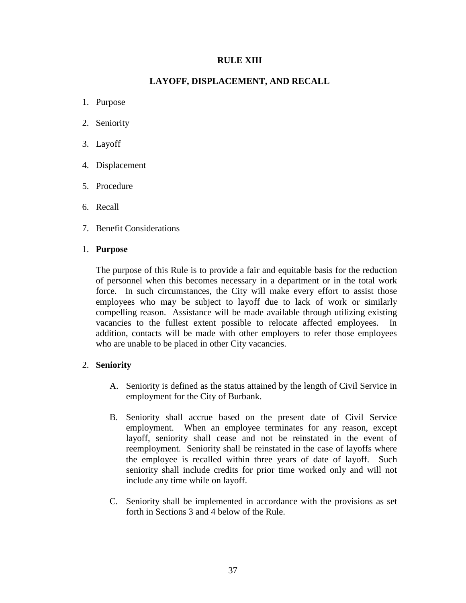## **RULE XIII**

## **LAYOFF, DISPLACEMENT, AND RECALL**

- 1. Purpose
- 2. Seniority
- 3. Layoff
- 4. Displacement
- 5. Procedure
- 6. Recall
- 7. Benefit Considerations

## 1. **Purpose**

The purpose of this Rule is to provide a fair and equitable basis for the reduction of personnel when this becomes necessary in a department or in the total work force. In such circumstances, the City will make every effort to assist those employees who may be subject to layoff due to lack of work or similarly compelling reason. Assistance will be made available through utilizing existing vacancies to the fullest extent possible to relocate affected employees. In addition, contacts will be made with other employers to refer those employees who are unable to be placed in other City vacancies.

## 2. **Seniority**

- A. Seniority is defined as the status attained by the length of Civil Service in employment for the City of Burbank.
- B. Seniority shall accrue based on the present date of Civil Service employment. When an employee terminates for any reason, except layoff, seniority shall cease and not be reinstated in the event of reemployment. Seniority shall be reinstated in the case of layoffs where the employee is recalled within three years of date of layoff. Such seniority shall include credits for prior time worked only and will not include any time while on layoff.
- C. Seniority shall be implemented in accordance with the provisions as set forth in Sections 3 and 4 below of the Rule.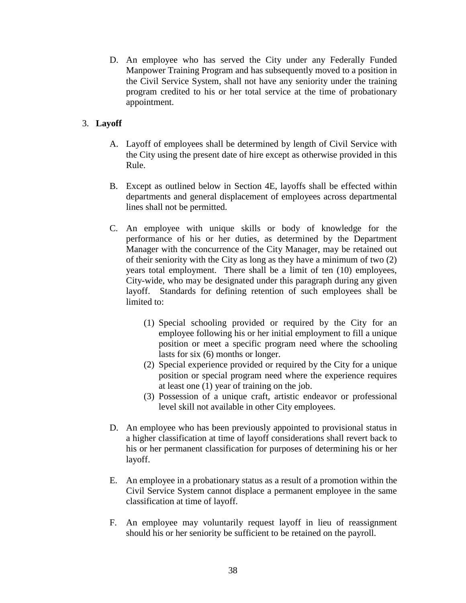D. An employee who has served the City under any Federally Funded Manpower Training Program and has subsequently moved to a position in the Civil Service System, shall not have any seniority under the training program credited to his or her total service at the time of probationary appointment.

## 3. **Layoff**

- A. Layoff of employees shall be determined by length of Civil Service with the City using the present date of hire except as otherwise provided in this Rule.
- B. Except as outlined below in Section 4E, layoffs shall be effected within departments and general displacement of employees across departmental lines shall not be permitted.
- C. An employee with unique skills or body of knowledge for the performance of his or her duties, as determined by the Department Manager with the concurrence of the City Manager, may be retained out of their seniority with the City as long as they have a minimum of two (2) years total employment. There shall be a limit of ten (10) employees, City-wide, who may be designated under this paragraph during any given layoff. Standards for defining retention of such employees shall be limited to:
	- (1) Special schooling provided or required by the City for an employee following his or her initial employment to fill a unique position or meet a specific program need where the schooling lasts for six (6) months or longer.
	- (2) Special experience provided or required by the City for a unique position or special program need where the experience requires at least one (1) year of training on the job.
	- (3) Possession of a unique craft, artistic endeavor or professional level skill not available in other City employees.
- D. An employee who has been previously appointed to provisional status in a higher classification at time of layoff considerations shall revert back to his or her permanent classification for purposes of determining his or her layoff.
- E. An employee in a probationary status as a result of a promotion within the Civil Service System cannot displace a permanent employee in the same classification at time of layoff.
- F. An employee may voluntarily request layoff in lieu of reassignment should his or her seniority be sufficient to be retained on the payroll.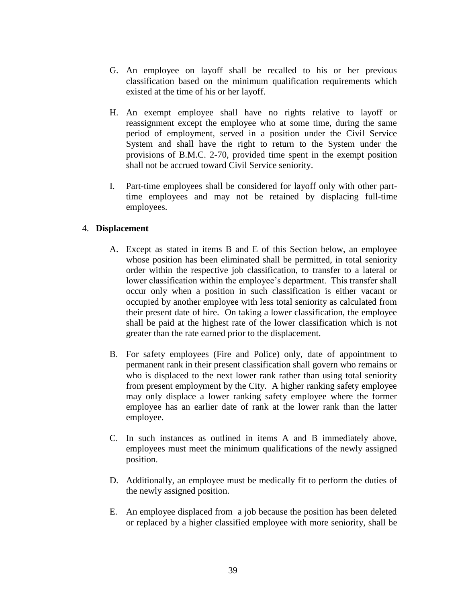- G. An employee on layoff shall be recalled to his or her previous classification based on the minimum qualification requirements which existed at the time of his or her layoff.
- H. An exempt employee shall have no rights relative to layoff or reassignment except the employee who at some time, during the same period of employment, served in a position under the Civil Service System and shall have the right to return to the System under the provisions of B.M.C. 2-70, provided time spent in the exempt position shall not be accrued toward Civil Service seniority.
- I. Part-time employees shall be considered for layoff only with other parttime employees and may not be retained by displacing full-time employees.

## 4. **Displacement**

- A. Except as stated in items B and E of this Section below, an employee whose position has been eliminated shall be permitted, in total seniority order within the respective job classification, to transfer to a lateral or lower classification within the employee's department. This transfer shall occur only when a position in such classification is either vacant or occupied by another employee with less total seniority as calculated from their present date of hire. On taking a lower classification, the employee shall be paid at the highest rate of the lower classification which is not greater than the rate earned prior to the displacement.
- B. For safety employees (Fire and Police) only, date of appointment to permanent rank in their present classification shall govern who remains or who is displaced to the next lower rank rather than using total seniority from present employment by the City. A higher ranking safety employee may only displace a lower ranking safety employee where the former employee has an earlier date of rank at the lower rank than the latter employee.
- C. In such instances as outlined in items A and B immediately above, employees must meet the minimum qualifications of the newly assigned position.
- D. Additionally, an employee must be medically fit to perform the duties of the newly assigned position.
- E. An employee displaced from a job because the position has been deleted or replaced by a higher classified employee with more seniority, shall be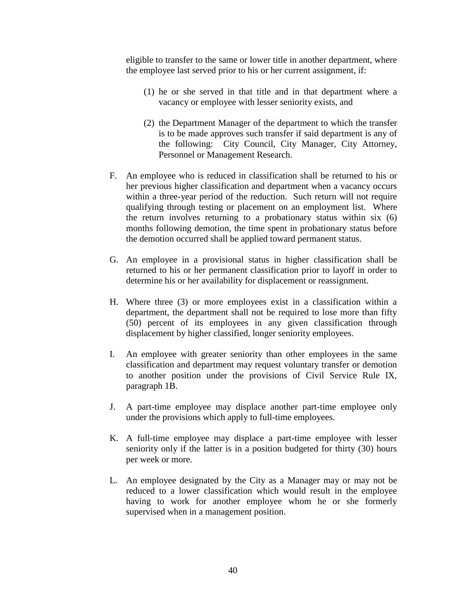eligible to transfer to the same or lower title in another department, where the employee last served prior to his or her current assignment, if:

- (1) he or she served in that title and in that department where a vacancy or employee with lesser seniority exists, and
- (2) the Department Manager of the department to which the transfer is to be made approves such transfer if said department is any of the following: City Council, City Manager, City Attorney, Personnel or Management Research.
- F. An employee who is reduced in classification shall be returned to his or her previous higher classification and department when a vacancy occurs within a three-year period of the reduction. Such return will not require qualifying through testing or placement on an employment list. Where the return involves returning to a probationary status within six (6) months following demotion, the time spent in probationary status before the demotion occurred shall be applied toward permanent status.
- G. An employee in a provisional status in higher classification shall be returned to his or her permanent classification prior to layoff in order to determine his or her availability for displacement or reassignment.
- H. Where three (3) or more employees exist in a classification within a department, the department shall not be required to lose more than fifty (50) percent of its employees in any given classification through displacement by higher classified, longer seniority employees.
- I. An employee with greater seniority than other employees in the same classification and department may request voluntary transfer or demotion to another position under the provisions of Civil Service Rule IX, paragraph 1B.
- J. A part-time employee may displace another part-time employee only under the provisions which apply to full-time employees.
- K. A full-time employee may displace a part-time employee with lesser seniority only if the latter is in a position budgeted for thirty (30) hours per week or more.
- L. An employee designated by the City as a Manager may or may not be reduced to a lower classification which would result in the employee having to work for another employee whom he or she formerly supervised when in a management position.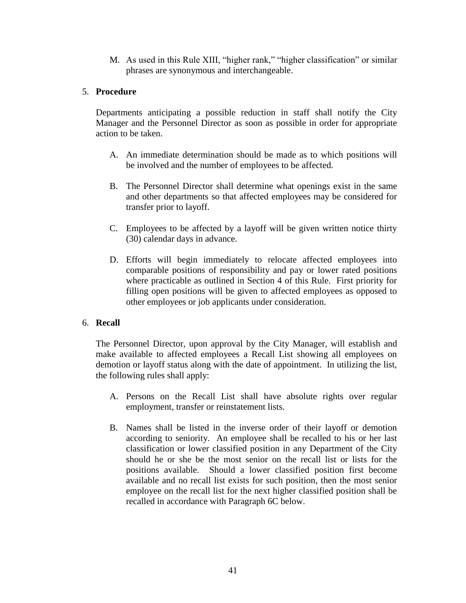M. As used in this Rule XIII, "higher rank," "higher classification" or similar phrases are synonymous and interchangeable.

## 5. **Procedure**

Departments anticipating a possible reduction in staff shall notify the City Manager and the Personnel Director as soon as possible in order for appropriate action to be taken.

- A. An immediate determination should be made as to which positions will be involved and the number of employees to be affected.
- B. The Personnel Director shall determine what openings exist in the same and other departments so that affected employees may be considered for transfer prior to layoff.
- C. Employees to be affected by a layoff will be given written notice thirty (30) calendar days in advance.
- D. Efforts will begin immediately to relocate affected employees into comparable positions of responsibility and pay or lower rated positions where practicable as outlined in Section 4 of this Rule. First priority for filling open positions will be given to affected employees as opposed to other employees or job applicants under consideration.

## 6. **Recall**

The Personnel Director, upon approval by the City Manager, will establish and make available to affected employees a Recall List showing all employees on demotion or layoff status along with the date of appointment. In utilizing the list, the following rules shall apply:

- A. Persons on the Recall List shall have absolute rights over regular employment, transfer or reinstatement lists.
- B. Names shall be listed in the inverse order of their layoff or demotion according to seniority. An employee shall be recalled to his or her last classification or lower classified position in any Department of the City should he or she be the most senior on the recall list or lists for the positions available. Should a lower classified position first become available and no recall list exists for such position, then the most senior employee on the recall list for the next higher classified position shall be recalled in accordance with Paragraph 6C below.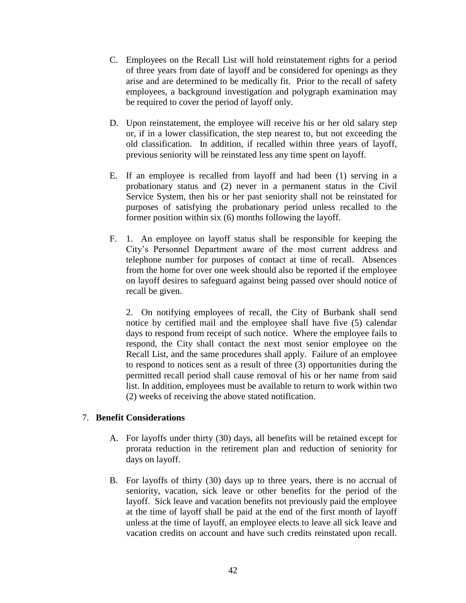- C. Employees on the Recall List will hold reinstatement rights for a period of three years from date of layoff and be considered for openings as they arise and are determined to be medically fit. Prior to the recall of safety employees, a background investigation and polygraph examination may be required to cover the period of layoff only.
- D. Upon reinstatement, the employee will receive his or her old salary step or, if in a lower classification, the step nearest to, but not exceeding the old classification. In addition, if recalled within three years of layoff, previous seniority will be reinstated less any time spent on layoff.
- E. If an employee is recalled from layoff and had been (1) serving in a probationary status and (2) never in a permanent status in the Civil Service System, then his or her past seniority shall not be reinstated for purposes of satisfying the probationary period unless recalled to the former position within six (6) months following the layoff.
- F. 1. An employee on layoff status shall be responsible for keeping the City's Personnel Department aware of the most current address and telephone number for purposes of contact at time of recall. Absences from the home for over one week should also be reported if the employee on layoff desires to safeguard against being passed over should notice of recall be given.

2. On notifying employees of recall, the City of Burbank shall send notice by certified mail and the employee shall have five (5) calendar days to respond from receipt of such notice. Where the employee fails to respond, the City shall contact the next most senior employee on the Recall List, and the same procedures shall apply. Failure of an employee to respond to notices sent as a result of three (3) opportunities during the permitted recall period shall cause removal of his or her name from said list. In addition, employees must be available to return to work within two (2) weeks of receiving the above stated notification.

## 7. **Benefit Considerations**

- A. For layoffs under thirty (30) days, all benefits will be retained except for prorata reduction in the retirement plan and reduction of seniority for days on layoff.
- B. For layoffs of thirty (30) days up to three years, there is no accrual of seniority, vacation, sick leave or other benefits for the period of the layoff. Sick leave and vacation benefits not previously paid the employee at the time of layoff shall be paid at the end of the first month of layoff unless at the time of layoff, an employee elects to leave all sick leave and vacation credits on account and have such credits reinstated upon recall.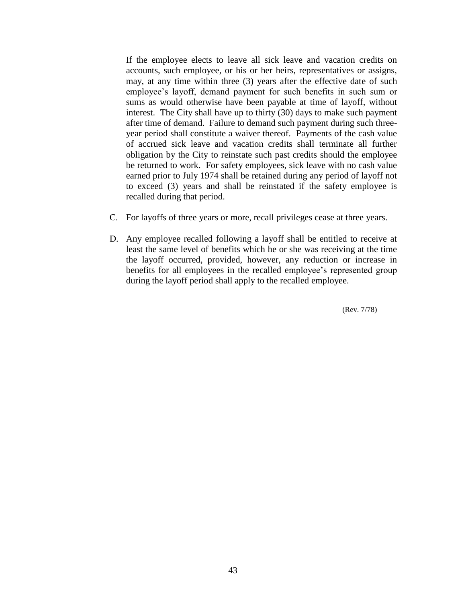If the employee elects to leave all sick leave and vacation credits on accounts, such employee, or his or her heirs, representatives or assigns, may, at any time within three (3) years after the effective date of such employee's layoff, demand payment for such benefits in such sum or sums as would otherwise have been payable at time of layoff, without interest. The City shall have up to thirty (30) days to make such payment after time of demand. Failure to demand such payment during such threeyear period shall constitute a waiver thereof. Payments of the cash value of accrued sick leave and vacation credits shall terminate all further obligation by the City to reinstate such past credits should the employee be returned to work. For safety employees, sick leave with no cash value earned prior to July 1974 shall be retained during any period of layoff not to exceed (3) years and shall be reinstated if the safety employee is recalled during that period.

- C. For layoffs of three years or more, recall privileges cease at three years.
- D. Any employee recalled following a layoff shall be entitled to receive at least the same level of benefits which he or she was receiving at the time the layoff occurred, provided, however, any reduction or increase in benefits for all employees in the recalled employee's represented group during the layoff period shall apply to the recalled employee.

(Rev. 7/78)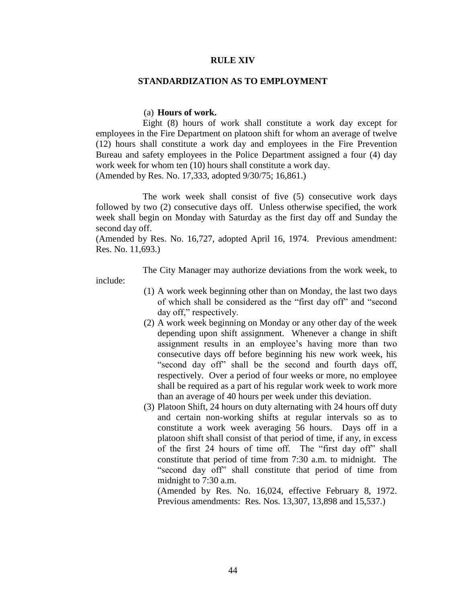#### **RULE XIV**

#### **STANDARDIZATION AS TO EMPLOYMENT**

#### (a) **Hours of work.**

 Eight (8) hours of work shall constitute a work day except for employees in the Fire Department on platoon shift for whom an average of twelve (12) hours shall constitute a work day and employees in the Fire Prevention Bureau and safety employees in the Police Department assigned a four (4) day work week for whom ten (10) hours shall constitute a work day. (Amended by Res. No. 17,333, adopted 9/30/75; 16,861.)

 The work week shall consist of five (5) consecutive work days followed by two (2) consecutive days off. Unless otherwise specified, the work week shall begin on Monday with Saturday as the first day off and Sunday the second day off.

(Amended by Res. No. 16,727, adopted April 16, 1974. Previous amendment: Res. No. 11,693.)

The City Manager may authorize deviations from the work week, to

include:

- (1) A work week beginning other than on Monday, the last two days of which shall be considered as the "first day off" and "second day off," respectively.
- (2) A work week beginning on Monday or any other day of the week depending upon shift assignment. Whenever a change in shift assignment results in an employee's having more than two consecutive days off before beginning his new work week, his "second day off" shall be the second and fourth days off, respectively. Over a period of four weeks or more, no employee shall be required as a part of his regular work week to work more than an average of 40 hours per week under this deviation.
- (3) Platoon Shift, 24 hours on duty alternating with 24 hours off duty and certain non-working shifts at regular intervals so as to constitute a work week averaging 56 hours. Days off in a platoon shift shall consist of that period of time, if any, in excess of the first 24 hours of time off. The "first day off" shall constitute that period of time from 7:30 a.m. to midnight. The "second day off" shall constitute that period of time from midnight to 7:30 a.m.

(Amended by Res. No. 16,024, effective February 8, 1972. Previous amendments: Res. Nos. 13,307, 13,898 and 15,537.)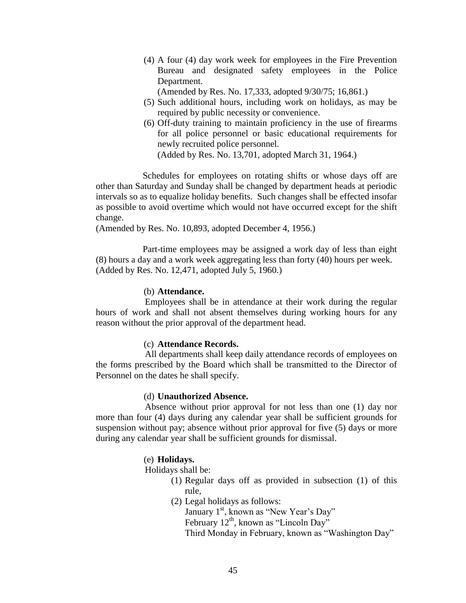- (4) A four (4) day work week for employees in the Fire Prevention Bureau and designated safety employees in the Police Department.
	- (Amended by Res. No. 17,333, adopted 9/30/75; 16,861.)
- (5) Such additional hours, including work on holidays, as may be required by public necessity or convenience.
- (6) Off-duty training to maintain proficiency in the use of firearms for all police personnel or basic educational requirements for newly recruited police personnel. (Added by Res. No. 13,701, adopted March 31, 1964.)

 Schedules for employees on rotating shifts or whose days off are other than Saturday and Sunday shall be changed by department heads at periodic intervals so as to equalize holiday benefits. Such changes shall be effected insofar as possible to avoid overtime which would not have occurred except for the shift change.

(Amended by Res. No. 10,893, adopted December 4, 1956.)

 Part-time employees may be assigned a work day of less than eight (8) hours a day and a work week aggregating less than forty (40) hours per week. (Added by Res. No. 12,471, adopted July 5, 1960.)

#### (b) **Attendance.**

 Employees shall be in attendance at their work during the regular hours of work and shall not absent themselves during working hours for any reason without the prior approval of the department head.

#### (c) **Attendance Records.**

 All departments shall keep daily attendance records of employees on the forms prescribed by the Board which shall be transmitted to the Director of Personnel on the dates he shall specify.

#### (d) **Unauthorized Absence.**

 Absence without prior approval for not less than one (1) day nor more than four (4) days during any calendar year shall be sufficient grounds for suspension without pay; absence without prior approval for five (5) days or more during any calendar year shall be sufficient grounds for dismissal.

#### (e) **Holidays.**

Holidays shall be:

- (1) Regular days off as provided in subsection (1) of this rule,
- (2) Legal holidays as follows:

January 1<sup>st</sup>, known as "New Year's Day" February 12<sup>th</sup>, known as "Lincoln Day" Third Monday in February, known as "Washington Day"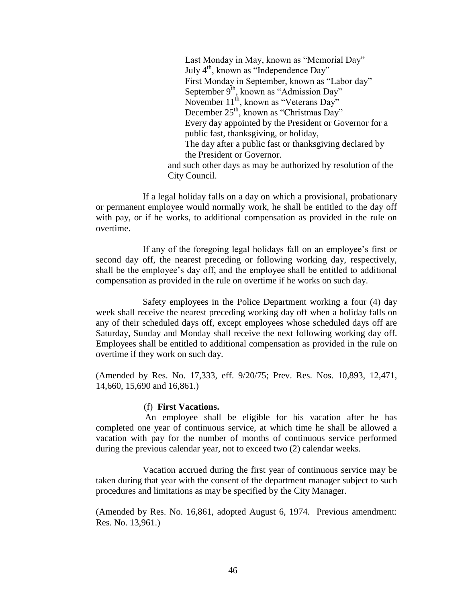Last Monday in May, known as "Memorial Day" July  $4<sup>th</sup>$ , known as "Independence Day" First Monday in September, known as "Labor day" September  $9<sup>th</sup>$ , known as "Admission Day" November  $11^{th}$ , known as "Veterans Day" December 25<sup>th</sup>, known as "Christmas Day" Every day appointed by the President or Governor for a public fast, thanksgiving, or holiday, The day after a public fast or thanksgiving declared by the President or Governor. and such other days as may be authorized by resolution of the City Council.

 If a legal holiday falls on a day on which a provisional, probationary or permanent employee would normally work, he shall be entitled to the day off with pay, or if he works, to additional compensation as provided in the rule on overtime.

 If any of the foregoing legal holidays fall on an employee's first or second day off, the nearest preceding or following working day, respectively, shall be the employee's day off, and the employee shall be entitled to additional compensation as provided in the rule on overtime if he works on such day.

 Safety employees in the Police Department working a four (4) day week shall receive the nearest preceding working day off when a holiday falls on any of their scheduled days off, except employees whose scheduled days off are Saturday, Sunday and Monday shall receive the next following working day off. Employees shall be entitled to additional compensation as provided in the rule on overtime if they work on such day.

(Amended by Res. No. 17,333, eff. 9/20/75; Prev. Res. Nos. 10,893, 12,471, 14,660, 15,690 and 16,861.)

#### (f) **First Vacations.**

 An employee shall be eligible for his vacation after he has completed one year of continuous service, at which time he shall be allowed a vacation with pay for the number of months of continuous service performed during the previous calendar year, not to exceed two (2) calendar weeks.

 Vacation accrued during the first year of continuous service may be taken during that year with the consent of the department manager subject to such procedures and limitations as may be specified by the City Manager.

(Amended by Res. No. 16,861, adopted August 6, 1974. Previous amendment: Res. No. 13,961.)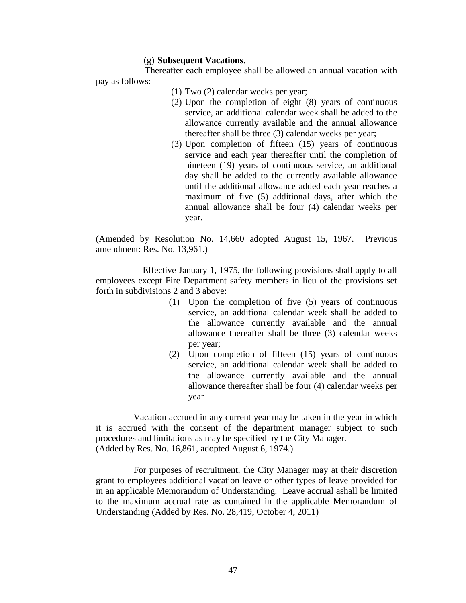#### (g) **Subsequent Vacations.**

 Thereafter each employee shall be allowed an annual vacation with pay as follows:

- (1) Two (2) calendar weeks per year;
- (2) Upon the completion of eight (8) years of continuous service, an additional calendar week shall be added to the allowance currently available and the annual allowance thereafter shall be three (3) calendar weeks per year;
- (3) Upon completion of fifteen (15) years of continuous service and each year thereafter until the completion of nineteen (19) years of continuous service, an additional day shall be added to the currently available allowance until the additional allowance added each year reaches a maximum of five (5) additional days, after which the annual allowance shall be four (4) calendar weeks per year.

(Amended by Resolution No. 14,660 adopted August 15, 1967. Previous amendment: Res. No. 13,961.)

 Effective January 1, 1975, the following provisions shall apply to all employees except Fire Department safety members in lieu of the provisions set forth in subdivisions 2 and 3 above:

- (1) Upon the completion of five (5) years of continuous service, an additional calendar week shall be added to the allowance currently available and the annual allowance thereafter shall be three (3) calendar weeks per year;
- (2) Upon completion of fifteen (15) years of continuous service, an additional calendar week shall be added to the allowance currently available and the annual allowance thereafter shall be four (4) calendar weeks per year

Vacation accrued in any current year may be taken in the year in which it is accrued with the consent of the department manager subject to such procedures and limitations as may be specified by the City Manager. (Added by Res. No. 16,861, adopted August 6, 1974.)

For purposes of recruitment, the City Manager may at their discretion grant to employees additional vacation leave or other types of leave provided for in an applicable Memorandum of Understanding. Leave accrual ashall be limited to the maximum accrual rate as contained in the applicable Memorandum of Understanding (Added by Res. No. 28,419, October 4, 2011)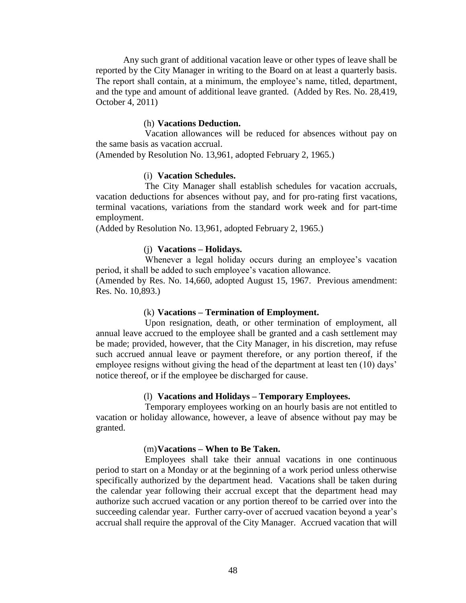Any such grant of additional vacation leave or other types of leave shall be reported by the City Manager in writing to the Board on at least a quarterly basis. The report shall contain, at a minimum, the employee's name, titled, department, and the type and amount of additional leave granted. (Added by Res. No. 28,419, October 4, 2011)

#### (h) **Vacations Deduction.**

 Vacation allowances will be reduced for absences without pay on the same basis as vacation accrual.

(Amended by Resolution No. 13,961, adopted February 2, 1965.)

### (i) **Vacation Schedules.**

 The City Manager shall establish schedules for vacation accruals, vacation deductions for absences without pay, and for pro-rating first vacations, terminal vacations, variations from the standard work week and for part-time employment.

(Added by Resolution No. 13,961, adopted February 2, 1965.)

#### (j) **Vacations – Holidays.**

 Whenever a legal holiday occurs during an employee's vacation period, it shall be added to such employee's vacation allowance.

(Amended by Res. No. 14,660, adopted August 15, 1967. Previous amendment: Res. No. 10,893.)

#### (k) **Vacations – Termination of Employment.**

 Upon resignation, death, or other termination of employment, all annual leave accrued to the employee shall be granted and a cash settlement may be made; provided, however, that the City Manager, in his discretion, may refuse such accrued annual leave or payment therefore, or any portion thereof, if the employee resigns without giving the head of the department at least ten (10) days' notice thereof, or if the employee be discharged for cause.

#### (l) **Vacations and Holidays – Temporary Employees.**

 Temporary employees working on an hourly basis are not entitled to vacation or holiday allowance, however, a leave of absence without pay may be granted.

#### (m)**Vacations – When to Be Taken.**

 Employees shall take their annual vacations in one continuous period to start on a Monday or at the beginning of a work period unless otherwise specifically authorized by the department head. Vacations shall be taken during the calendar year following their accrual except that the department head may authorize such accrued vacation or any portion thereof to be carried over into the succeeding calendar year. Further carry-over of accrued vacation beyond a year's accrual shall require the approval of the City Manager. Accrued vacation that will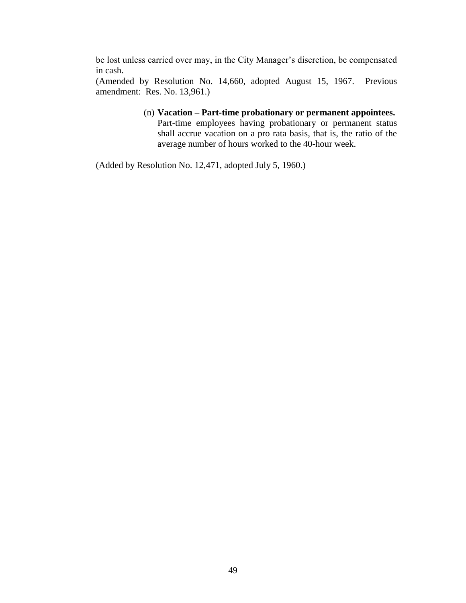be lost unless carried over may, in the City Manager's discretion, be compensated in cash.

(Amended by Resolution No. 14,660, adopted August 15, 1967. Previous amendment: Res. No. 13,961.)

> (n) **Vacation – Part-time probationary or permanent appointees.** Part-time employees having probationary or permanent status shall accrue vacation on a pro rata basis, that is, the ratio of the average number of hours worked to the 40-hour week.

(Added by Resolution No. 12,471, adopted July 5, 1960.)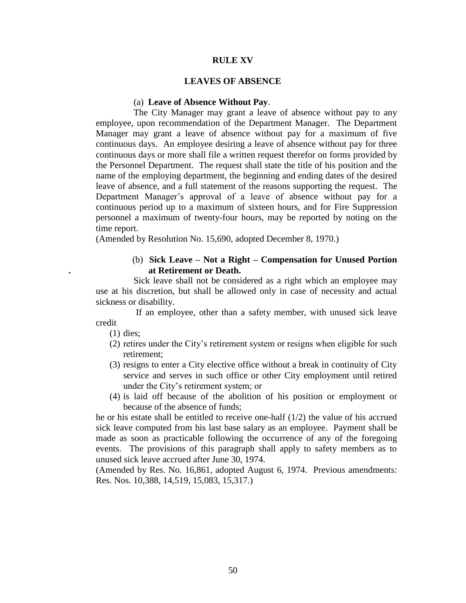#### **RULE XV**

#### **LEAVES OF ABSENCE**

#### (a) **Leave of Absence Without Pay**.

The City Manager may grant a leave of absence without pay to any employee, upon recommendation of the Department Manager. The Department Manager may grant a leave of absence without pay for a maximum of five continuous days. An employee desiring a leave of absence without pay for three continuous days or more shall file a written request therefor on forms provided by the Personnel Department. The request shall state the title of his position and the name of the employing department, the beginning and ending dates of the desired leave of absence, and a full statement of the reasons supporting the request. The Department Manager's approval of a leave of absence without pay for a continuous period up to a maximum of sixteen hours, and for Fire Suppression personnel a maximum of twenty-four hours, may be reported by noting on the time report.

(Amended by Resolution No. 15,690, adopted December 8, 1970.)

### (b) **Sick Leave – Not a Right – Compensation for Unused Portion . at Retirement or Death.**

Sick leave shall not be considered as a right which an employee may use at his discretion, but shall be allowed only in case of necessity and actual sickness or disability.

If an employee, other than a safety member, with unused sick leave credit

(1) dies;

- (2) retires under the City's retirement system or resigns when eligible for such retirement;
- (3) resigns to enter a City elective office without a break in continuity of City service and serves in such office or other City employment until retired under the City's retirement system; or
- (4) is laid off because of the abolition of his position or employment or because of the absence of funds;

he or his estate shall be entitled to receive one-half (1/2) the value of his accrued sick leave computed from his last base salary as an employee. Payment shall be made as soon as practicable following the occurrence of any of the foregoing events. The provisions of this paragraph shall apply to safety members as to unused sick leave accrued after June 30, 1974.

(Amended by Res. No. 16,861, adopted August 6, 1974. Previous amendments: Res. Nos. 10,388, 14,519, 15,083, 15,317.)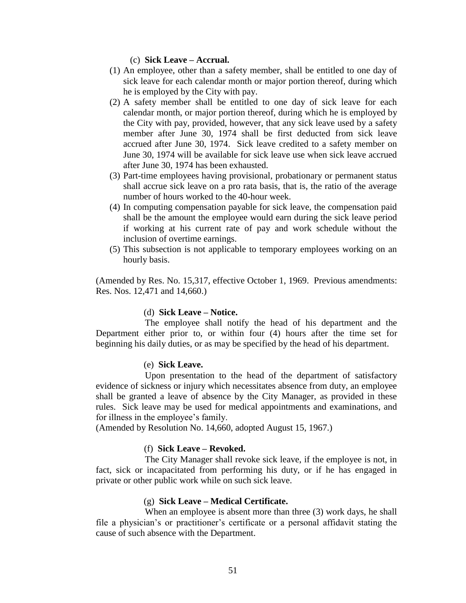(c) **Sick Leave – Accrual.**

- (1) An employee, other than a safety member, shall be entitled to one day of sick leave for each calendar month or major portion thereof, during which he is employed by the City with pay.
- (2) A safety member shall be entitled to one day of sick leave for each calendar month, or major portion thereof, during which he is employed by the City with pay, provided, however, that any sick leave used by a safety member after June 30, 1974 shall be first deducted from sick leave accrued after June 30, 1974. Sick leave credited to a safety member on June 30, 1974 will be available for sick leave use when sick leave accrued after June 30, 1974 has been exhausted.
- (3) Part-time employees having provisional, probationary or permanent status shall accrue sick leave on a pro rata basis, that is, the ratio of the average number of hours worked to the 40-hour week.
- (4) In computing compensation payable for sick leave, the compensation paid shall be the amount the employee would earn during the sick leave period if working at his current rate of pay and work schedule without the inclusion of overtime earnings.
- (5) This subsection is not applicable to temporary employees working on an hourly basis.

(Amended by Res. No. 15,317, effective October 1, 1969. Previous amendments: Res. Nos. 12,471 and 14,660.)

#### (d) **Sick Leave – Notice.**

 The employee shall notify the head of his department and the Department either prior to, or within four (4) hours after the time set for beginning his daily duties, or as may be specified by the head of his department.

#### (e) **Sick Leave.**

 Upon presentation to the head of the department of satisfactory evidence of sickness or injury which necessitates absence from duty, an employee shall be granted a leave of absence by the City Manager, as provided in these rules. Sick leave may be used for medical appointments and examinations, and for illness in the employee's family.

(Amended by Resolution No. 14,660, adopted August 15, 1967.)

## (f) **Sick Leave – Revoked.**

 The City Manager shall revoke sick leave, if the employee is not, in fact, sick or incapacitated from performing his duty, or if he has engaged in private or other public work while on such sick leave.

#### (g) **Sick Leave – Medical Certificate.**

When an employee is absent more than three (3) work days, he shall file a physician's or practitioner's certificate or a personal affidavit stating the cause of such absence with the Department.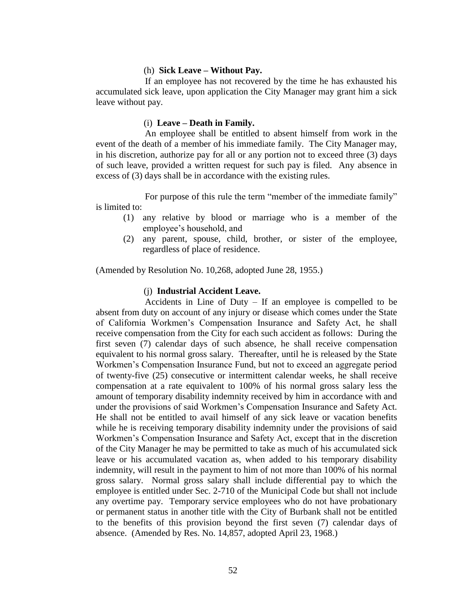#### (h) **Sick Leave – Without Pay.**

 If an employee has not recovered by the time he has exhausted his accumulated sick leave, upon application the City Manager may grant him a sick leave without pay.

#### (i) **Leave – Death in Family.**

 An employee shall be entitled to absent himself from work in the event of the death of a member of his immediate family. The City Manager may, in his discretion, authorize pay for all or any portion not to exceed three (3) days of such leave, provided a written request for such pay is filed. Any absence in excess of (3) days shall be in accordance with the existing rules.

 For purpose of this rule the term "member of the immediate family" is limited to:

- (1) any relative by blood or marriage who is a member of the employee's household, and
- (2) any parent, spouse, child, brother, or sister of the employee, regardless of place of residence.

(Amended by Resolution No. 10,268, adopted June 28, 1955.)

#### (j) **Industrial Accident Leave.**

 Accidents in Line of Duty – If an employee is compelled to be absent from duty on account of any injury or disease which comes under the State of California Workmen's Compensation Insurance and Safety Act, he shall receive compensation from the City for each such accident as follows: During the first seven (7) calendar days of such absence, he shall receive compensation equivalent to his normal gross salary. Thereafter, until he is released by the State Workmen's Compensation Insurance Fund, but not to exceed an aggregate period of twenty-five (25) consecutive or intermittent calendar weeks, he shall receive compensation at a rate equivalent to 100% of his normal gross salary less the amount of temporary disability indemnity received by him in accordance with and under the provisions of said Workmen's Compensation Insurance and Safety Act. He shall not be entitled to avail himself of any sick leave or vacation benefits while he is receiving temporary disability indemnity under the provisions of said Workmen's Compensation Insurance and Safety Act, except that in the discretion of the City Manager he may be permitted to take as much of his accumulated sick leave or his accumulated vacation as, when added to his temporary disability indemnity, will result in the payment to him of not more than 100% of his normal gross salary. Normal gross salary shall include differential pay to which the employee is entitled under Sec. 2-710 of the Municipal Code but shall not include any overtime pay. Temporary service employees who do not have probationary or permanent status in another title with the City of Burbank shall not be entitled to the benefits of this provision beyond the first seven (7) calendar days of absence. (Amended by Res. No. 14,857, adopted April 23, 1968.)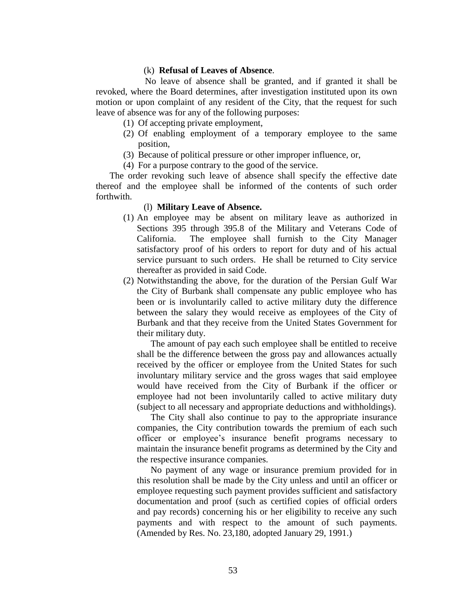#### (k) **Refusal of Leaves of Absence**.

 No leave of absence shall be granted, and if granted it shall be revoked, where the Board determines, after investigation instituted upon its own motion or upon complaint of any resident of the City, that the request for such leave of absence was for any of the following purposes:

- (1) Of accepting private employment,
- (2) Of enabling employment of a temporary employee to the same position,
- (3) Because of political pressure or other improper influence, or,
- (4) For a purpose contrary to the good of the service.

 The order revoking such leave of absence shall specify the effective date thereof and the employee shall be informed of the contents of such order forthwith.

#### (l) **Military Leave of Absence.**

- (1) An employee may be absent on military leave as authorized in Sections 395 through 395.8 of the Military and Veterans Code of California. The employee shall furnish to the City Manager satisfactory proof of his orders to report for duty and of his actual service pursuant to such orders. He shall be returned to City service thereafter as provided in said Code.
- (2) Notwithstanding the above, for the duration of the Persian Gulf War the City of Burbank shall compensate any public employee who has been or is involuntarily called to active military duty the difference between the salary they would receive as employees of the City of Burbank and that they receive from the United States Government for their military duty.

The amount of pay each such employee shall be entitled to receive shall be the difference between the gross pay and allowances actually received by the officer or employee from the United States for such involuntary military service and the gross wages that said employee would have received from the City of Burbank if the officer or employee had not been involuntarily called to active military duty (subject to all necessary and appropriate deductions and withholdings).

The City shall also continue to pay to the appropriate insurance companies, the City contribution towards the premium of each such officer or employee's insurance benefit programs necessary to maintain the insurance benefit programs as determined by the City and the respective insurance companies.

No payment of any wage or insurance premium provided for in this resolution shall be made by the City unless and until an officer or employee requesting such payment provides sufficient and satisfactory documentation and proof (such as certified copies of official orders and pay records) concerning his or her eligibility to receive any such payments and with respect to the amount of such payments. (Amended by Res. No. 23,180, adopted January 29, 1991.)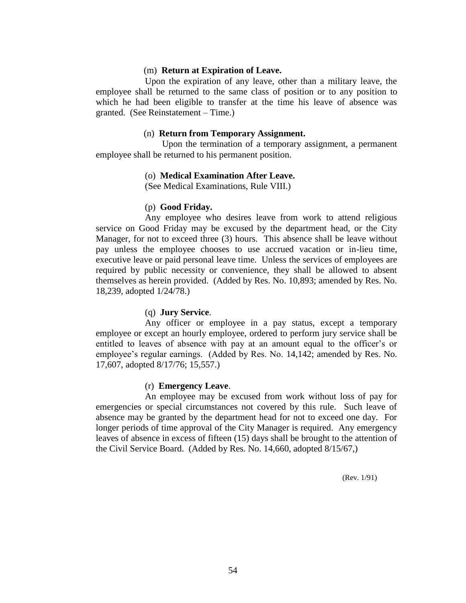#### (m) **Return at Expiration of Leave.**

 Upon the expiration of any leave, other than a military leave, the employee shall be returned to the same class of position or to any position to which he had been eligible to transfer at the time his leave of absence was granted. (See Reinstatement – Time.)

#### (n) **Return from Temporary Assignment.**

 Upon the termination of a temporary assignment, a permanent employee shall be returned to his permanent position.

## (o) **Medical Examination After Leave.**

(See Medical Examinations, Rule VIII.)

#### (p) **Good Friday.**

 Any employee who desires leave from work to attend religious service on Good Friday may be excused by the department head, or the City Manager, for not to exceed three (3) hours. This absence shall be leave without pay unless the employee chooses to use accrued vacation or in-lieu time, executive leave or paid personal leave time. Unless the services of employees are required by public necessity or convenience, they shall be allowed to absent themselves as herein provided. (Added by Res. No. 10,893; amended by Res. No. 18,239, adopted 1/24/78.)

#### (q) **Jury Service**.

 Any officer or employee in a pay status, except a temporary employee or except an hourly employee, ordered to perform jury service shall be entitled to leaves of absence with pay at an amount equal to the officer's or employee's regular earnings. (Added by Res. No. 14,142; amended by Res. No. 17,607, adopted 8/17/76; 15,557.)

#### (r) **Emergency Leave**.

 An employee may be excused from work without loss of pay for emergencies or special circumstances not covered by this rule. Such leave of absence may be granted by the department head for not to exceed one day. For longer periods of time approval of the City Manager is required. Any emergency leaves of absence in excess of fifteen (15) days shall be brought to the attention of the Civil Service Board. (Added by Res. No. 14,660, adopted 8/15/67,)

(Rev. 1/91)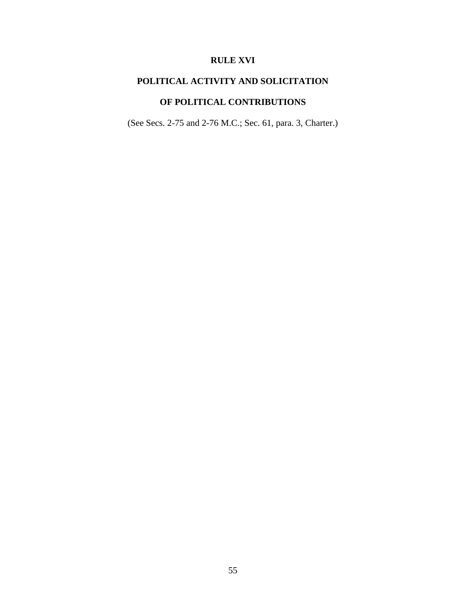# **RULE XVI**

# **POLITICAL ACTIVITY AND SOLICITATION**

# **OF POLITICAL CONTRIBUTIONS**

(See Secs. 2-75 and 2-76 M.C.; Sec. 61, para. 3, Charter.)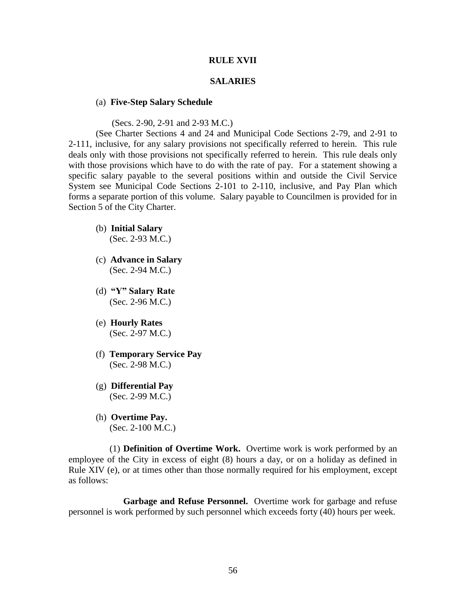#### **RULE XVII**

#### **SALARIES**

#### (a) **Five-Step Salary Schedule**

(Secs. 2-90, 2-91 and 2-93 M.C.)

(See Charter Sections 4 and 24 and Municipal Code Sections 2-79, and 2-91 to 2-111, inclusive, for any salary provisions not specifically referred to herein. This rule deals only with those provisions not specifically referred to herein. This rule deals only with those provisions which have to do with the rate of pay. For a statement showing a specific salary payable to the several positions within and outside the Civil Service System see Municipal Code Sections 2-101 to 2-110, inclusive, and Pay Plan which forms a separate portion of this volume. Salary payable to Councilmen is provided for in Section 5 of the City Charter.

- (b) **Initial Salary** (Sec. 2-93 M.C.)
- (c) **Advance in Salary** (Sec. 2-94 M.C.)
- (d) **"Y" Salary Rate** (Sec. 2-96 M.C.)
- (e) **Hourly Rates** (Sec. 2-97 M.C.)
- (f) **Temporary Service Pay** (Sec. 2-98 M.C.)
- (g) **Differential Pay** (Sec. 2-99 M.C.)
- (h) **Overtime Pay.** (Sec. 2-100 M.C.)

 (1) **Definition of Overtime Work.** Overtime work is work performed by an employee of the City in excess of eight (8) hours a day, or on a holiday as defined in Rule XIV (e), or at times other than those normally required for his employment, except as follows:

**Garbage and Refuse Personnel.** Overtime work for garbage and refuse personnel is work performed by such personnel which exceeds forty (40) hours per week.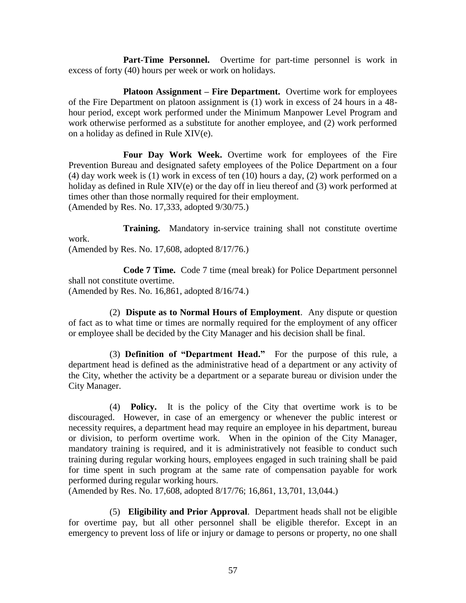**Part-Time Personnel.** Overtime for part-time personnel is work in excess of forty (40) hours per week or work on holidays.

**Platoon Assignment – Fire Department.** Overtime work for employees of the Fire Department on platoon assignment is (1) work in excess of 24 hours in a 48 hour period, except work performed under the Minimum Manpower Level Program and work otherwise performed as a substitute for another employee, and (2) work performed on a holiday as defined in Rule XIV(e).

**Four Day Work Week.** Overtime work for employees of the Fire Prevention Bureau and designated safety employees of the Police Department on a four (4) day work week is (1) work in excess of ten (10) hours a day, (2) work performed on a holiday as defined in Rule XIV(e) or the day off in lieu thereof and (3) work performed at times other than those normally required for their employment. (Amended by Res. No. 17,333, adopted 9/30/75.)

**Training.** Mandatory in-service training shall not constitute overtime work. (Amended by Res. No. 17,608, adopted 8/17/76.)

**Code 7 Time.** Code 7 time (meal break) for Police Department personnel shall not constitute overtime.

(Amended by Res. No. 16,861, adopted 8/16/74.)

 (2) **Dispute as to Normal Hours of Employment**. Any dispute or question of fact as to what time or times are normally required for the employment of any officer or employee shall be decided by the City Manager and his decision shall be final.

 (3) **Definition of "Department Head."** For the purpose of this rule, a department head is defined as the administrative head of a department or any activity of the City, whether the activity be a department or a separate bureau or division under the City Manager.

 (4) **Policy.** It is the policy of the City that overtime work is to be discouraged. However, in case of an emergency or whenever the public interest or necessity requires, a department head may require an employee in his department, bureau or division, to perform overtime work. When in the opinion of the City Manager, mandatory training is required, and it is administratively not feasible to conduct such training during regular working hours, employees engaged in such training shall be paid for time spent in such program at the same rate of compensation payable for work performed during regular working hours.

(Amended by Res. No. 17,608, adopted 8/17/76; 16,861, 13,701, 13,044.)

 (5) **Eligibility and Prior Approval**. Department heads shall not be eligible for overtime pay, but all other personnel shall be eligible therefor. Except in an emergency to prevent loss of life or injury or damage to persons or property, no one shall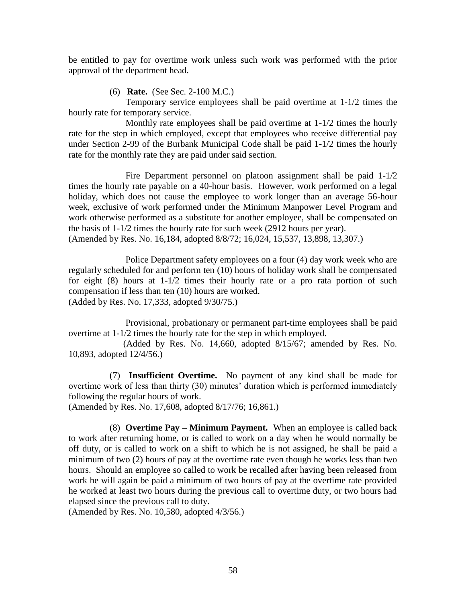be entitled to pay for overtime work unless such work was performed with the prior approval of the department head.

(6) **Rate.** (See Sec. 2-100 M.C.)

Temporary service employees shall be paid overtime at 1-1/2 times the hourly rate for temporary service.

Monthly rate employees shall be paid overtime at 1-1/2 times the hourly rate for the step in which employed, except that employees who receive differential pay under Section 2-99 of the Burbank Municipal Code shall be paid 1-1/2 times the hourly rate for the monthly rate they are paid under said section.

Fire Department personnel on platoon assignment shall be paid 1-1/2 times the hourly rate payable on a 40-hour basis. However, work performed on a legal holiday, which does not cause the employee to work longer than an average 56-hour week, exclusive of work performed under the Minimum Manpower Level Program and work otherwise performed as a substitute for another employee, shall be compensated on the basis of 1-1/2 times the hourly rate for such week (2912 hours per year).

(Amended by Res. No. 16,184, adopted 8/8/72; 16,024, 15,537, 13,898, 13,307.)

Police Department safety employees on a four (4) day work week who are regularly scheduled for and perform ten (10) hours of holiday work shall be compensated for eight (8) hours at 1-1/2 times their hourly rate or a pro rata portion of such compensation if less than ten (10) hours are worked. (Added by Res. No. 17,333, adopted 9/30/75.)

Provisional, probationary or permanent part-time employees shall be paid overtime at 1-1/2 times the hourly rate for the step in which employed.

(Added by Res. No. 14,660, adopted 8/15/67; amended by Res. No. 10,893, adopted 12/4/56.)

 (7) **Insufficient Overtime.** No payment of any kind shall be made for overtime work of less than thirty (30) minutes' duration which is performed immediately following the regular hours of work.

(Amended by Res. No. 17,608, adopted 8/17/76; 16,861.)

(8) **Overtime Pay – Minimum Payment.** When an employee is called back to work after returning home, or is called to work on a day when he would normally be off duty, or is called to work on a shift to which he is not assigned, he shall be paid a minimum of two (2) hours of pay at the overtime rate even though he works less than two hours. Should an employee so called to work be recalled after having been released from work he will again be paid a minimum of two hours of pay at the overtime rate provided he worked at least two hours during the previous call to overtime duty, or two hours had elapsed since the previous call to duty.

(Amended by Res. No. 10,580, adopted 4/3/56.)